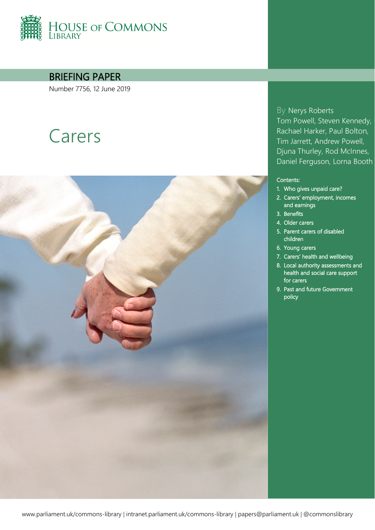

BRIEFING PAPER

Number 7756, 12 June 2019

# Carers



By Nerys Roberts Tom Powell, Steven Kennedy, Rachael Harker, Paul Bolton, Tim Jarrett, Andrew Powell, Djuna Thurley, Rod McInnes, Daniel Ferguson, Lorna Booth

#### Contents:

- 1. [Who gives unpaid care?](#page-6-0)
- 2. [Carers' employment, incomes](#page-8-0)  [and earnings](#page-8-0)
- 3. [Benefits](#page-16-0)
- 4. [Older carers](#page-23-0)
- 5. [Parent carers of disabled](#page-26-0)  [children](#page-26-0)
- 6. [Young carers](#page-27-0)
- 7. [Carers' health and wellbeing](#page-34-0)
- 8. [Local authority assessments and](#page-38-0)  [health and social care support](#page-38-0)  [for carers](#page-38-0)
- 9. [Past and future Government](#page-42-0)  [policy](#page-42-0)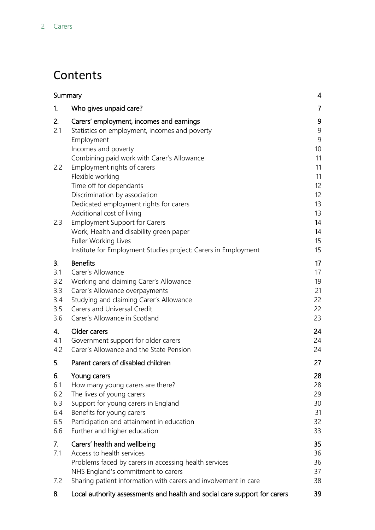## **Contents**

| Summary                                      |                                                                                                                                                                                                                                                         | 4                                                  |
|----------------------------------------------|---------------------------------------------------------------------------------------------------------------------------------------------------------------------------------------------------------------------------------------------------------|----------------------------------------------------|
| 1.                                           | Who gives unpaid care?                                                                                                                                                                                                                                  | $\overline{7}$                                     |
| 2.<br>2.1                                    | Carers' employment, incomes and earnings<br>Statistics on employment, incomes and poverty<br>Employment<br>Incomes and poverty<br>Combining paid work with Carer's Allowance                                                                            | 9<br>9<br>9<br>10<br>11                            |
| 2.2                                          | Employment rights of carers<br>Flexible working<br>Time off for dependants<br>Discrimination by association                                                                                                                                             | 11<br>11<br>$12 \overline{ }$<br>$12 \overline{ }$ |
| 2.3                                          | Dedicated employment rights for carers<br>Additional cost of living<br><b>Employment Support for Carers</b><br>Work, Health and disability green paper<br><b>Fuller Working Lives</b><br>Institute for Employment Studies project: Carers in Employment | 13<br>13<br>14<br>14<br>15<br>15                   |
| 3.<br>3.1<br>3.2<br>3.3<br>3.4<br>3.5<br>3.6 | <b>Benefits</b><br>Carer's Allowance<br>Working and claiming Carer's Allowance<br>Carer's Allowance overpayments<br>Studying and claiming Carer's Allowance<br><b>Carers and Universal Credit</b><br>Carer's Allowance in Scotland                      | 17<br>17<br>19<br>21<br>22<br>22<br>23             |
| 4.<br>4.1<br>4.2                             | Older carers<br>Government support for older carers<br>Carer's Allowance and the State Pension                                                                                                                                                          | 24<br>24<br>24                                     |
| 5.                                           | Parent carers of disabled children                                                                                                                                                                                                                      | 27                                                 |
| 6.<br>6.1<br>6.2<br>6.3<br>6.4<br>6.5<br>6.6 | Young carers<br>How many young carers are there?<br>The lives of young carers<br>Support for young carers in England<br>Benefits for young carers<br>Participation and attainment in education<br>Further and higher education                          | 28<br>28<br>29<br>30<br>31<br>32<br>33             |
| 7.<br>7.1<br>7.2                             | Carers' health and wellbeing<br>Access to health services<br>Problems faced by carers in accessing health services<br>NHS England's commitment to carers<br>Sharing patient information with carers and involvement in care                             | 35<br>36<br>36<br>37<br>38                         |
| 8.                                           | Local authority assessments and health and social care support for carers                                                                                                                                                                               | 39                                                 |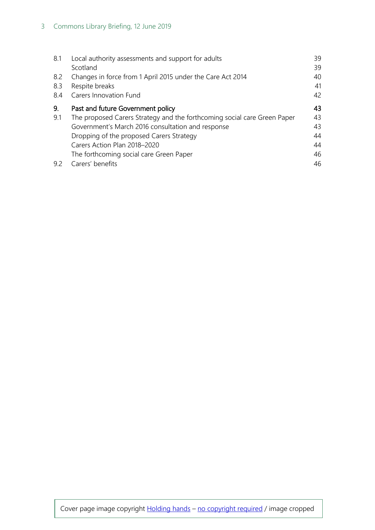| 8.1               | Local authority assessments and support for adults<br>Scotland                                                                                                     | 39<br>39       |
|-------------------|--------------------------------------------------------------------------------------------------------------------------------------------------------------------|----------------|
| 8.2<br>8.3<br>8.4 | Changes in force from 1 April 2015 under the Care Act 2014<br>Respite breaks<br><b>Carers Innovation Fund</b>                                                      | 40<br>41<br>42 |
| 9.<br>9.1         | Past and future Government policy<br>The proposed Carers Strategy and the forthcoming social care Green Paper<br>Government's March 2016 consultation and response | 43<br>43<br>43 |
|                   | Dropping of the proposed Carers Strategy<br>Carers Action Plan 2018-2020                                                                                           | 44<br>44<br>46 |
| 9.2               | The forthcoming social care Green Paper<br>Carers' benefits                                                                                                        | 46             |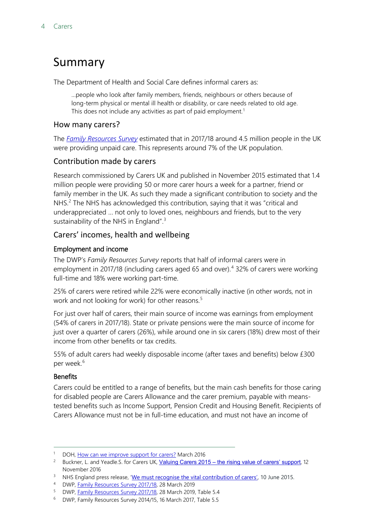## <span id="page-3-0"></span>Summary

The Department of Health and Social Care defines informal carers as:

…people who look after family members, friends, neighbours or others because of long-term physical or mental ill health or disability, or care needs related to old age. This does not include any activities as part of paid employment.<sup>[1](#page-3-1)</sup>

#### How many carers?

The *[Family Resources Survey](https://www.gov.uk/government/collections/family-resources-survey--2)* estimated that in 2017/18 around 4.5 million people in the UK were providing unpaid care. This represents around 7% of the UK population.

### Contribution made by carers

Research commissioned by Carers UK and published in November 2015 estimated that 1.4 million people were providing 50 or more carer hours a week for a partner, friend or family member in the UK. As such they made a significant contribution to society and the NHS. $<sup>2</sup>$  $<sup>2</sup>$  $<sup>2</sup>$  The NHS has acknowledged this contribution, saying that it was "critical and</sup> underappreciated … not only to loved ones, neighbours and friends, but to the very sustainability of the NHS in England".<sup>[3](#page-3-3)</sup>

### Carers' incomes, health and wellbeing

#### Employment and income

The DWP's *Family Resources Survey* reports that half of informal carers were in employment in 2017/18 (including carers aged 65 and over).<sup>[4](#page-3-4)</sup> 32% of carers were working full-time and 18% were working part-time.

25% of carers were retired while 22% were economically inactive (in other words, not in work and not looking for work) for other reasons.<sup>[5](#page-3-5)</sup>

For just over half of carers, their main source of income was earnings from employment (54% of carers in 2017/18). State or private pensions were the main source of income for just over a quarter of carers (26%), while around one in six carers (18%) drew most of their income from other benefits or tax credits.

55% of adult carers had weekly disposable income (after taxes and benefits) below £300 per week.<sup>[6](#page-3-6)</sup>

#### **Benefits**

Carers could be entitled to a range of benefits, but the main cash benefits for those caring for disabled people are Carers Allowance and the carer premium, payable with meanstested benefits such as Income Support, Pension Credit and Housing Benefit. Recipients of Carers Allowance must not be in full-time education, and must not have an income of

<span id="page-3-1"></span><sup>&</sup>lt;sup>1</sup> DOH, [How can we improve support for carers?](https://consultations.dh.gov.uk/carers/how-can-we-improve-support-for-carers/) March 2016

<span id="page-3-2"></span><sup>&</sup>lt;sup>2</sup> Buckner, L. and Yeadle.S. for Carers UK, Valuing Carers 2015 – [the rising value of carers' support](http://www.carersuk.org/for-professionals/policy/policy-library/valuing-carers-2015), 12 November 2016

<span id="page-3-3"></span><sup>&</sup>lt;sup>3</sup> NHS England press release, '[We must recognise the vital contribution of carers',](https://www.england.nhs.uk/2015/06/contribution-of-carers/) 10 June 2015.

<span id="page-3-5"></span><span id="page-3-4"></span>

<sup>4</sup> DWP, [Family Resources Survey 2017/18,](https://www.gov.uk/government/statistics/family-resources-survey-financial-year-201718) 28 March 2019<br><sup>5</sup> DWP, Family Resources Survey 2017/18, 28 March 2019, Table 5.4

<span id="page-3-6"></span><sup>6</sup> DWP, Family Resources Survey 2014/15, 16 March 2017, Table 5.5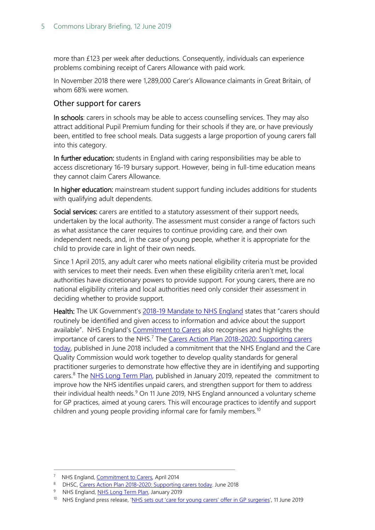more than £123 per week after deductions. Consequently, individuals can experience problems combining receipt of Carers Allowance with paid work.

In November 2018 there were 1,289,000 Carer's Allowance claimants in Great Britain, of whom 68% were women.

#### Other support for carers

In schools: carers in schools may be able to access counselling services. They may also attract additional Pupil Premium funding for their schools if they are, or have previously been, entitled to free school meals. Data suggests a large proportion of young carers fall into this category.

In further education: students in England with caring responsibilities may be able to access discretionary 16-19 bursary support. However, being in full-time education means they cannot claim Carers Allowance.

In higher education: mainstream student support funding includes additions for students with qualifying adult dependents.

Social services: carers are entitled to a statutory assessment of their support needs, undertaken by the local authority. The assessment must consider a range of factors such as what assistance the carer requires to continue providing care, and their own independent needs, and, in the case of young people, whether it is appropriate for the child to provide care in light of their own needs.

Since 1 April 2015, any adult carer who meets national eligibility criteria must be provided with services to meet their needs. Even when these eligibility criteria aren't met, local authorities have discretionary powers to provide support. For young carers, there are no national eligibility criteria and local authorities need only consider their assessment in deciding whether to provide support.

Health: The UK Government's 2018-19 [Mandate to NHS England](https://www.gov.uk/government/publications/nhs-mandate-2018-to-2019) states that "carers should routinely be identified and given access to information and advice about the support available". NHS England's [Commitment to Carers](https://www.england.nhs.uk/wp-content/uploads/2014/05/commitment-to-carers-may14.pdf) also recognises and highlights the importance of carers to the NHS.<sup>[7](#page-4-0)</sup> The Carers Action Plan 2018-2020: Supporting carers [today,](https://www.gov.uk/government/publications/carers-action-plan-2018-to-2020) published in June 2018 included a commitment that the NHS England and the Care Quality Commission would work together to develop quality standards for general practitioner surgeries to demonstrate how effective they are in identifying and supporting carers.<sup>[8](#page-4-1)</sup> The [NHS Long Term Plan,](https://www.longtermplan.nhs.uk/publication/nhs-long-term-plan/) published in January 2019, repeated the commitment to improve how the NHS identifies unpaid carers, and strengthen support for them to address their individual health needs.<sup>[9](#page-4-2)</sup> On 11 June 2019, NHS England announced a voluntary scheme for GP practices, aimed at young carers. This will encourage practices to identify and support children and young people providing informal care for family members.<sup>[10](#page-4-3)</sup>

<span id="page-4-0"></span><sup>&</sup>lt;sup>7</sup> NHS England[, Commitment to Carers,](https://www.england.nhs.uk/wp-content/uploads/2014/05/commitment-to-carers-may14.pdf) April 2014

<span id="page-4-1"></span><sup>8</sup> DHSC[, Carers Action Plan 2018-2020: Supporting carers today.](https://www.gov.uk/government/publications/carers-action-plan-2018-to-2020) June 2018

<span id="page-4-2"></span><sup>9</sup> NHS England, [NHS Long Term Plan,](https://www.longtermplan.nhs.uk/publication/nhs-long-term-plan/) January 2019

<span id="page-4-3"></span><sup>&</sup>lt;sup>10</sup> NHS England press release, ['NHS sets out 'care for young carers' offer in GP surgeries',](https://www.england.nhs.uk/2019/06/nhs-sets-out-care-for-young-carers-offer-in-gp-surgeries/) 11 June 2019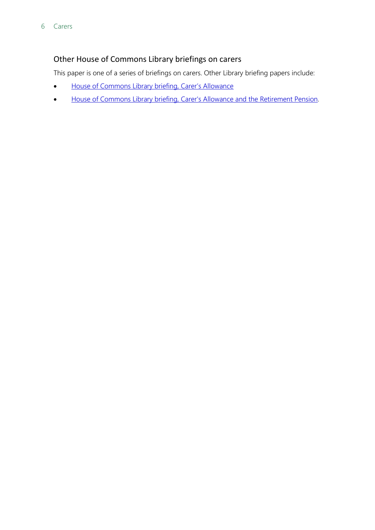### Other House of Commons Library briefings on carers

This paper is one of a series of briefings on carers. Other Library briefing papers include:

- [House of Commons Library briefing, Carer's Allowance](https://researchbriefings.parliament.uk/ResearchBriefing/Summary/SN00846)
- [House of Commons Library briefing, Carer's Allowance and the Retirement Pension.](https://researchbriefings.parliament.uk/ResearchBriefing/Summary/SN06349)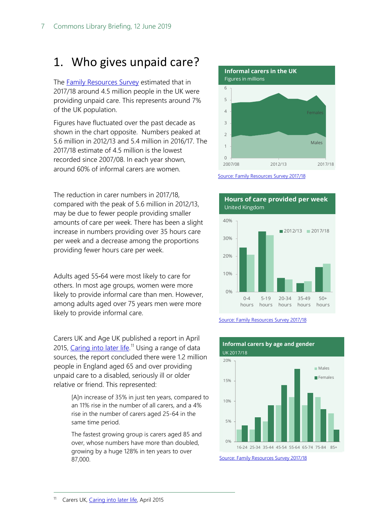## <span id="page-6-0"></span>1. Who gives unpaid care?

The [Family Resources Survey](https://www.gov.uk/government/collections/family-resources-survey--2) estimated that in 2017/18 around 4.5 million people in the UK were providing unpaid care. This represents around 7% of the UK population.

Figures have fluctuated over the past decade as shown in the chart opposite. Numbers peaked at 5.6 million in 2012/13 and 5.4 million in 2016/17. The 2017/18 estimate of 4.5 million is the lowest recorded since 2007/08. In each year shown, around 60% of informal carers are women.

The reduction in carer numbers in 2017/18, compared with the peak of 5.6 million in 2012/13, may be due to fewer people providing smaller amounts of care per week. There has been a slight increase in numbers providing over 35 hours care per week and a decrease among the proportions providing fewer hours care per week.

Adults aged 55-64 were most likely to care for others. In most age groups, women were more likely to provide informal care than men. However, among adults aged over 75 years men were more likely to provide informal care.

Carers UK and Age UK published a report in April 2015, [Caring into later life.](http://www.carersuk.org/for-professionals/policy/policy-library/caring-into-later-life)<sup>[11](#page-6-1)</sup> Using a range of data sources, the report concluded there were 1.2 million people in England aged 65 and over providing unpaid care to a disabled, seriously ill or older relative or friend. This represented:

> [A]n increase of 35% in just ten years, compared to an 11% rise in the number of all carers, and a 4% rise in the number of carers aged 25-64 in the same time period.

<span id="page-6-1"></span>The fastest growing group is carers aged 85 and over, whose numbers have more than doubled, growing by a huge 128% in ten years to over 87,000.



[Source: Family Resources Survey 2017/18](https://www.gov.uk/government/statistics/family-resources-survey-financial-year-201718)



[Source: Family Resources Survey 2017/18](https://www.gov.uk/government/statistics/family-resources-survey-financial-year-201718)



**Informal carers by age and gender**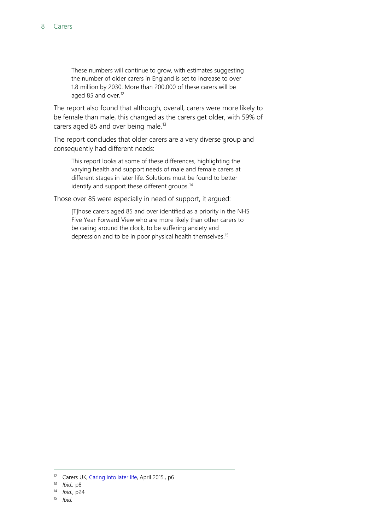These numbers will continue to grow, with estimates suggesting the number of older carers in England is set to increase to over 1.8 million by 2030. More than 200,000 of these carers will be aged 85 and over.<sup>[12](#page-7-0)</sup>

The report also found that although, overall, carers were more likely to be female than male, this changed as the carers get older, with 59% of carers aged 85 and over being male.<sup>[13](#page-7-1)</sup>

The report concludes that older carers are a very diverse group and consequently had different needs:

This report looks at some of these differences, highlighting the varying health and support needs of male and female carers at different stages in later life. Solutions must be found to better identify and support these different groups.<sup>[14](#page-7-2)</sup>

Those over 85 were especially in need of support, it argued:

[T]hose carers aged 85 and over identified as a priority in the NHS Five Year Forward View who are more likely than other carers to be caring around the clock, to be suffering anxiety and depression and to be in poor physical health themselves.[15](#page-7-3)

<span id="page-7-0"></span> <sup>12</sup> Carers UK[, Caring into later life,](http://www.carersuk.org/for-professionals/policy/policy-library/caring-into-later-life) April 2015*.,* p6

<span id="page-7-1"></span><sup>13</sup> *Ibid.,* p8

<sup>14</sup> *Ibid.,* p24

<span id="page-7-3"></span><span id="page-7-2"></span><sup>15</sup> *Ibid.*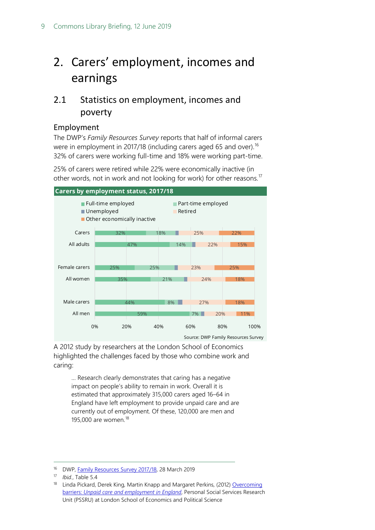## <span id="page-8-0"></span>2. Carers' employment, incomes and earnings

## <span id="page-8-1"></span>2.1 Statistics on employment, incomes and poverty

#### <span id="page-8-2"></span>Employment

The DWP's *Family Resources Survey* reports that half of informal carers were in employment in 2017/18 (including carers aged 65 and over).<sup>[16](#page-8-3)</sup> 32% of carers were working full-time and 18% were working part-time.

25% of carers were retired while 22% were economically inactive (in other words, not in work and not looking for work) for other reasons.<sup>[17](#page-8-4)</sup>



A 2012 study by researchers at the London School of Economics highlighted the challenges faced by those who combine work and caring:

… Research clearly demonstrates that caring has a negative impact on people's ability to remain in work. Overall it is estimated that approximately 315,000 carers aged 16–64 in England have left employment to provide unpaid care and are currently out of employment. Of these, 120,000 are men and 195,000 are women.[18](#page-8-5)

<span id="page-8-3"></span><sup>&</sup>lt;sup>16</sup> DWP, *Family Resources Survey 2017/18*, 28 March 2019

<span id="page-8-5"></span><span id="page-8-4"></span><sup>17</sup> *Ibid.*, Table 5.4

<sup>&</sup>lt;sup>18</sup> Linda Pickard, Derek King, Martin Knapp and Margaret Perkins, (2012) Overcoming barriers: *[Unpaid care and employment in England](http://www.lse.ac.uk/LSEHealthAndSocialCare/pdf/SSCRAnnualConfPresentations/Linda-Pickard.pdf)*, Personal Social Services Research Unit (PSSRU) at London School of Economics and Political Science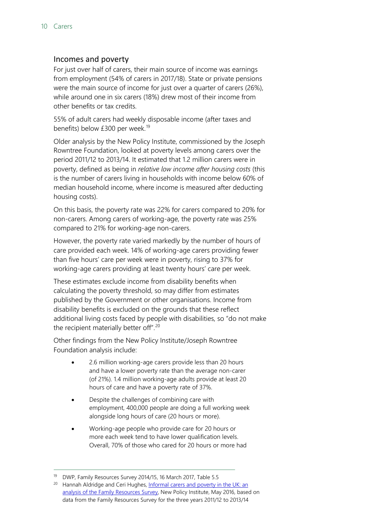#### <span id="page-9-0"></span>Incomes and poverty

For just over half of carers, their main source of income was earnings from employment (54% of carers in 2017/18). State or private pensions were the main source of income for just over a quarter of carers (26%), while around one in six carers (18%) drew most of their income from other benefits or tax credits.

55% of adult carers had weekly disposable income (after taxes and benefits) below £300 per week.<sup>[19](#page-9-1)</sup>

Older analysis by the New Policy Institute, commissioned by the Joseph Rowntree Foundation, looked at poverty levels among carers over the period 2011/12 to 2013/14. It estimated that 1.2 million carers were in poverty, defined as being in *relative low income after housing costs* (this is the number of carers living in households with income below 60% of median household income, where income is measured after deducting housing costs).

On this basis, the poverty rate was 22% for carers compared to 20% for non-carers. Among carers of working-age, the poverty rate was 25% compared to 21% for working-age non-carers.

However, the poverty rate varied markedly by the number of hours of care provided each week. 14% of working-age carers providing fewer than five hours' care per week were in poverty, rising to 37% for working-age carers providing at least twenty hours' care per week.

These estimates exclude income from disability benefits when calculating the poverty threshold, so may differ from estimates published by the Government or other organisations. Income from disability benefits is excluded on the grounds that these reflect additional living costs faced by people with disabilities, so "do not make the recipient materially better off".<sup>[20](#page-9-2)</sup>

Other findings from the New Policy Institute/Joseph Rowntree Foundation analysis include:

- 2.6 million working-age carers provide less than 20 hours and have a lower poverty rate than the average non-carer (of 21%). 1.4 million working-age adults provide at least 20 hours of care and have a poverty rate of 37%.
- Despite the challenges of combining care with employment, 400,000 people are doing a full working week alongside long hours of care (20 hours or more).
- Working-age people who provide care for 20 hours or more each week tend to have lower qualification levels. Overall, 70% of those who cared for 20 hours or more had

<span id="page-9-2"></span><span id="page-9-1"></span> <sup>19</sup> DWP, Family Resources Survey 2014/15, 16 March 2017, Table 5.5

<sup>&</sup>lt;sup>20</sup> Hannah Aldridge and Ceri Hughes, Informal carers and poverty in the UK: an [analysis of the Family Resources Survey,](http://npi.org.uk/publications/income-and-poverty/informal-care-and-poverty-uk/) New Policy Institute, May 2016, based on data from the Family Resources Survey for the three years 2011/12 to 2013/14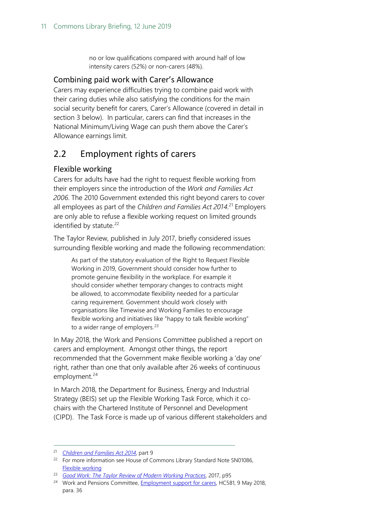no or low qualifications compared with around half of low intensity carers (52%) or non-carers (48%).

#### <span id="page-10-0"></span>Combining paid work with Carer's Allowance

Carers may experience difficulties trying to combine paid work with their caring duties while also satisfying the conditions for the main social security benefit for carers, Carer's Allowance (covered in detail in section 3 below). In particular, carers can find that increases in the National Minimum/Living Wage can push them above the Carer's Allowance earnings limit.

### <span id="page-10-1"></span>2.2 Employment rights of carers

#### <span id="page-10-2"></span>Flexible working

Carers for adults have had the right to request flexible working from their employers since the introduction of the *Work and Families Act 2006*. The 2010 Government extended this right beyond carers to cover all employees as part of the *Children and Families Act 2014*.<sup>[21](#page-10-3)</sup> Employers are only able to refuse a flexible working request on limited grounds identified by statute.<sup>[22](#page-10-4)</sup>

The Taylor Review, published in July 2017, briefly considered issues surrounding flexible working and made the following recommendation:

As part of the statutory evaluation of the Right to Request Flexible Working in 2019, Government should consider how further to promote genuine flexibility in the workplace. For example it should consider whether temporary changes to contracts might be allowed, to accommodate flexibility needed for a particular caring requirement. Government should work closely with organisations like Timewise and Working Families to encourage flexible working and initiatives like "happy to talk flexible working" to a wider range of employers.<sup>[23](#page-10-5)</sup>

In May 2018, the Work and Pensions Committee published a report on carers and employment. Amongst other things, the report recommended that the Government make flexible working a 'day one' right, rather than one that only available after 26 weeks of continuous employment. $24$ 

In March 2018, the Department for Business, Energy and Industrial Strategy (BEIS) set up the Flexible Working Task Force, which it cochairs with the Chartered Institute of Personnel and Development (CIPD). The Task Force is made up of various different stakeholders and

<span id="page-10-3"></span> <sup>21</sup> *[Children and Families Act 2014](http://www.legislation.gov.uk/ukpga/2014/6/pdfs/ukpga_20140006_en.pdf)*, part 9

<span id="page-10-4"></span><sup>&</sup>lt;sup>22</sup> For more information see House of Commons Library Standard Note SN01086, [Flexible working](http://www.parliament.uk/business/publications/research/briefing-papers/SN01086/flexible-working)

<span id="page-10-5"></span><sup>23</sup> *[Good Work: The Taylor Review of Modern Working Practices](https://assets.publishing.service.gov.uk/government/uploads/system/uploads/attachment_data/file/627671/good-work-taylor-review-modern-working-practices-rg.pdf)*, 2017, p95

<span id="page-10-6"></span><sup>&</sup>lt;sup>24</sup> Work and Pensions Committee, **Employment support for carers**, HC581, 9 May 2018, para. 36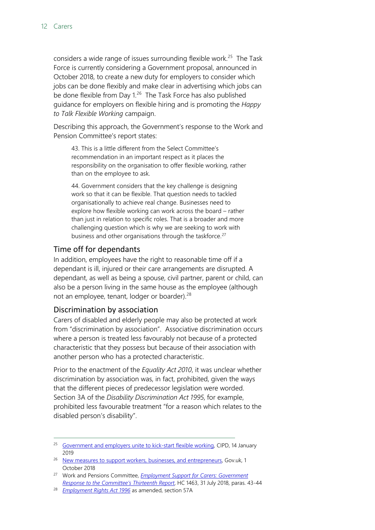considers a wide range of issues surrounding flexible work.<sup>[25](#page-11-2)</sup> The Task Force is currently considering a Government proposal, announced in October 2018, to create a new duty for employers to consider which jobs can be done flexibly and make clear in advertising which jobs can be done flexible from Day 1.<sup>26</sup> The Task Force has also published guidance for employers on flexible hiring and is promoting the *Happy to Talk Flexible Working* campaign.

Describing this approach, the Government's response to the Work and Pension Committee's report states:

43. This is a little different from the Select Committee's recommendation in an important respect as it places the responsibility on the organisation to offer flexible working, rather than on the employee to ask.

44. Government considers that the key challenge is designing work so that it can be flexible. That question needs to tackled organisationally to achieve real change. Businesses need to explore how flexible working can work across the board – rather than just in relation to specific roles. That is a broader and more challenging question which is why we are seeking to work with business and other organisations through the taskforce.<sup>[27](#page-11-4)</sup>

#### <span id="page-11-0"></span>Time off for dependants

In addition, employees have the right to reasonable time off if a dependant is ill, injured or their care arrangements are disrupted. A dependant, as well as being a spouse, civil partner, parent or child, can also be a person living in the same house as the employee (although not an employee, tenant, lodger or boarder).  $28$ 

#### <span id="page-11-1"></span>Discrimination by association

Carers of disabled and elderly people may also be protected at work from "discrimination by association". Associative discrimination occurs where a person is treated less favourably not because of a protected characteristic that they possess but because of their association with another person who has a protected characteristic.

Prior to the enactment of the *Equality Act 2010*, it was unclear whether discrimination by association was, in fact, prohibited, given the ways that the different pieces of predecessor legislation were worded. Section 3A of the *Disability Discrimination Act 1995*, for example, prohibited less favourable treatment "for a reason which relates to the disabled person's disability".

<span id="page-11-2"></span><sup>&</sup>lt;sup>25</sup> [Government and employers unite to kick-start flexible working,](https://www.cipd.co.uk/about/media/press/flexible-working-taskforce) CIPD, 14 January 2019

<span id="page-11-3"></span><sup>&</sup>lt;sup>26</sup> [New measures to support workers, businesses, and entrepreneurs,](https://www.gov.uk/government/news/new-legislation-to-ensure-tips-and-gratuities-go-to-employees) Gov.uk, 1 October 2018

<span id="page-11-4"></span><sup>27</sup> Work and Pensions Committee, *[Employment Support for Carers: Government](https://publications.parliament.uk/pa/cm201719/cmselect/cmworpen/1463/1463.pdf)  [Response to the Committee's Thirteenth Report](https://publications.parliament.uk/pa/cm201719/cmselect/cmworpen/1463/1463.pdf)*, HC 1463, 31 July 2018, paras. 43-44

<span id="page-11-5"></span><sup>28</sup> *[Employment Rights Act 1996](http://www.legislation.gov.uk/ukpga/1996/18/section/57A)* as amended, section 57A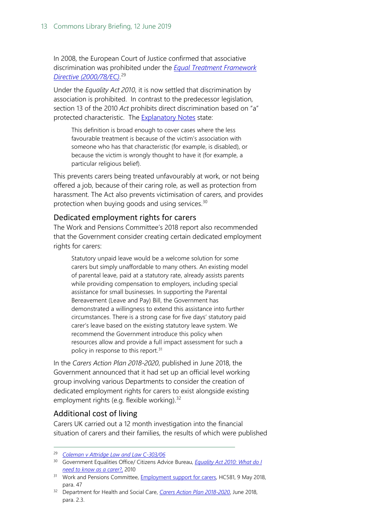In 2008, the European Court of Justice confirmed that associative discrimination was prohibited under the *[Equal Treatment Framework](https://eur-lex.europa.eu/legal-content/EN/TXT/PDF/?uri=CELEX:32000L0078&from=EN)  [Directive \(2000/78/EC\)](https://eur-lex.europa.eu/legal-content/EN/TXT/PDF/?uri=CELEX:32000L0078&from=EN)*. [29](#page-12-2)

Under the *Equality Act 2010*, it is now settled that discrimination by association is prohibited. In contrast to the predecessor legislation, section 13 of the 2010 *Act* prohibits direct discrimination based on "a" protected characteristic. The [Explanatory Notes](http://www.legislation.gov.uk/ukpga/2010/15/notes/division/3/2/2/1) state:

This definition is broad enough to cover cases where the less favourable treatment is because of the victim's association with someone who has that characteristic (for example, is disabled), or because the victim is wrongly thought to have it (for example, a particular religious belief).

This prevents carers being treated unfavourably at work, or not being offered a job, because of their caring role, as well as protection from harassment. The Act also prevents victimisation of carers, and provides protection when buying goods and using services. $30$ 

#### <span id="page-12-0"></span>Dedicated employment rights for carers

The Work and Pensions Committee's 2018 report also recommended that the Government consider creating certain dedicated employment rights for carers:

Statutory unpaid leave would be a welcome solution for some carers but simply unaffordable to many others. An existing model of parental leave, paid at a statutory rate, already assists parents while providing compensation to employers, including special assistance for small businesses. In supporting the Parental Bereavement (Leave and Pay) Bill, the Government has demonstrated a willingness to extend this assistance into further circumstances. There is a strong case for five days' statutory paid carer's leave based on the existing statutory leave system. We recommend the Government introduce this policy when resources allow and provide a full impact assessment for such a policy in response to this report.<sup>[31](#page-12-4)</sup>

In the *Carers Action Plan 2018-2020*, published in June 2018, the Government announced that it had set up an official level working group involving various Departments to consider the creation of dedicated employment rights for carers to exist alongside existing employment rights (e.g. flexible working).<sup>[32](#page-12-5)</sup>

#### <span id="page-12-1"></span>Additional cost of living

Carers UK carried out a 12 month investigation into the financial situation of carers and their families, the results of which were published

<span id="page-12-2"></span> <sup>29</sup> *[Coleman v Attridge Law and Law C-303/06](http://curia.europa.eu/juris/document/document.jsf?text=&docid=67793&pageIndex=0&doclang=en&mode=lst&dir=&occ=first&part=1&cid=7480119)*

<span id="page-12-3"></span><sup>30</sup> Government Equalities Office/ Citizens Advice Bureau, *[Equality Act 2010: What do I](https://www.citizensadvice.org.uk/Documents/Advice%20booklets/equality-act-2010-carer.pdf) [need to know as a carer?](https://www.citizensadvice.org.uk/Documents/Advice%20booklets/equality-act-2010-carer.pdf)*, 2010

<span id="page-12-4"></span><sup>&</sup>lt;sup>31</sup> Work and Pensions Committee, **Employment support for carers**, HC581, 9 May 2018, para. 47

<span id="page-12-5"></span><sup>32</sup> Department for Health and Social Care, *[Carers Action Plan 2018-2020](https://assets.publishing.service.gov.uk/government/uploads/system/uploads/attachment_data/file/713781/carers-action-plan-2018-2020.pdf)*, June 2018, para. 2.3.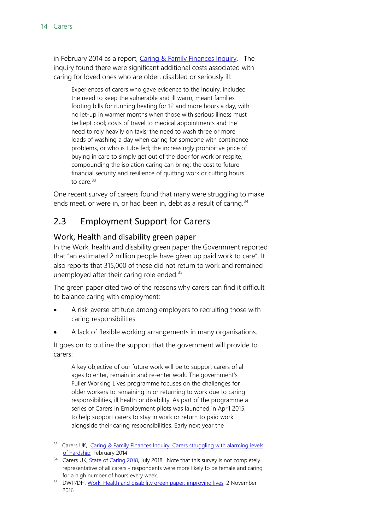in February 2014 as a report, [Caring & Family Finances Inquiry.](http://www.carersuk.org/for-professionals/policy/policy-library/caring-family-finances-inquiry) The inquiry found there were significant additional costs associated with caring for loved ones who are older, disabled or seriously ill:

Experiences of carers who gave evidence to the Inquiry, included the need to keep the vulnerable and ill warm, meant families footing bills for running heating for 12 and more hours a day, with no let-up in warmer months when those with serious illness must be kept cool; costs of travel to medical appointments and the need to rely heavily on taxis; the need to wash three or more loads of washing a day when caring for someone with continence problems, or who is tube fed; the increasingly prohibitive price of buying in care to simply get out of the door for work or respite, compounding the isolation caring can bring; the cost to future financial security and resilience of quitting work or cutting hours to care. $33$ 

One recent survey of careers found that many were struggling to make ends meet, or were in, or had been in, debt as a result of caring.<sup>[34](#page-13-3)</sup>

### <span id="page-13-0"></span>2.3 Employment Support for Carers

#### <span id="page-13-1"></span>Work, Health and disability green paper

In the Work, health and disability green paper the Government reported that "an estimated 2 million people have given up paid work to care". It also reports that 315,000 of these did not return to work and remained unemployed after their caring role ended. $35$ 

The green paper cited two of the reasons why carers can find it difficult to balance caring with employment:

- A risk-averse attitude among employers to recruiting those with caring responsibilities.
- A lack of flexible working arrangements in many organisations.

It goes on to outline the support that the government will provide to carers:

A key objective of our future work will be to support carers of all ages to enter, remain in and re-enter work. The government's Fuller Working Lives programme focuses on the challenges for older workers to remaining in or returning to work due to caring responsibilities, ill health or disability. As part of the programme a series of Carers in Employment pilots was launched in April 2015, to help support carers to stay in work or return to paid work alongside their caring responsibilities. Early next year the

<span id="page-13-2"></span><sup>33</sup> Carers UK, [Caring & Family Finances Inquiry: Carers struggling with alarming levels](https://www.carersuk.org/news-and-campaigns/press-release-rss/580-nation-s-carers-struggling-with-alarming-levels-of-hardship)  [of hardship,](https://www.carersuk.org/news-and-campaigns/press-release-rss/580-nation-s-carers-struggling-with-alarming-levels-of-hardship) February 2014

<span id="page-13-3"></span><sup>&</sup>lt;sup>34</sup> Carers UK, **State of Caring 2018**, July 2018. Note that this survey is not completely representative of all carers - respondents were more likely to be female and caring for a high number of hours every week.

<span id="page-13-4"></span><sup>&</sup>lt;sup>35</sup> DWP/DH, [Work, Health and disability green paper: improving lives,](https://www.gov.uk/government/consultations/work-health-and-disability-improving-lives/work-health-and-disability-green-paper-improving-lives) 2 November 2016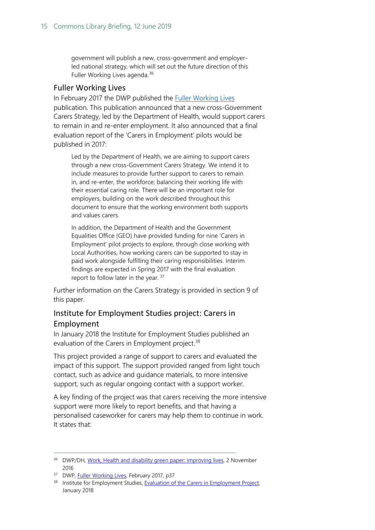government will publish a new, cross-government and employerled national strategy, which will set out the future direction of this Fuller Working Lives agenda.<sup>[36](#page-14-2)</sup>

#### <span id="page-14-0"></span>Fuller Working Lives

In February 2017 the DWP published the **Fuller Working Lives** publication. This publication announced that a new cross-Government Carers Strategy, led by the Department of Health, would support carers to remain in and re-enter employment. It also announced that a final evaluation report of the 'Carers in Employment' pilots would be published in 2017:

Led by the Department of Health, we are aiming to support carers through a new cross-Government Carers Strategy. We intend it to include measures to provide further support to carers to remain in, and re-enter, the workforce; balancing their working life with their essential caring role. There will be an important role for employers, building on the work described throughout this document to ensure that the working environment both supports and values carers.

In addition, the Department of Health and the Government Equalities Office (GEO) have provided funding for nine 'Carers in Employment' pilot projects to explore, through close working with Local Authorities, how working carers can be supported to stay in paid work alongside fulfilling their caring responsibilities. Interim findings are expected in Spring 2017 with the final evaluation report to follow later in the year. [37](#page-14-3)

Further information on the Carers Strategy is provided in section 9 of this paper.

### <span id="page-14-1"></span>Institute for Employment Studies project: Carers in Employment

In January 2018 the Institute for Employment Studies published an evaluation of the Carers in Employment project.<sup>[38](#page-14-4)</sup>

This project provided a range of support to carers and evaluated the impact of this support. The support provided ranged from light touch contact, such as advice and guidance materials, to more intensive support, such as regular ongoing contact with a support worker.

A key finding of the project was that carers receiving the more intensive support were more likely to report benefits, and that having a personalised caseworker for carers may help them to continue in work. It states that:

<span id="page-14-2"></span><sup>36</sup> DWP/DH, [Work, Health and disability green paper: improving lives,](https://www.gov.uk/government/consultations/work-health-and-disability-improving-lives/work-health-and-disability-green-paper-improving-lives) 2 November 2016

<span id="page-14-3"></span><sup>&</sup>lt;sup>37</sup> DWP, [Fuller Working Lives,](https://www.gov.uk/government/uploads/system/uploads/attachment_data/file/587654/fuller-working-lives-a-partnership-approach.pdf) February 2017, p37

<span id="page-14-4"></span><sup>38</sup> Institute for Employment Studies, [Evaluation of the Carers in Employment Project,](https://www.scie.org.uk/carers/employment) January 2018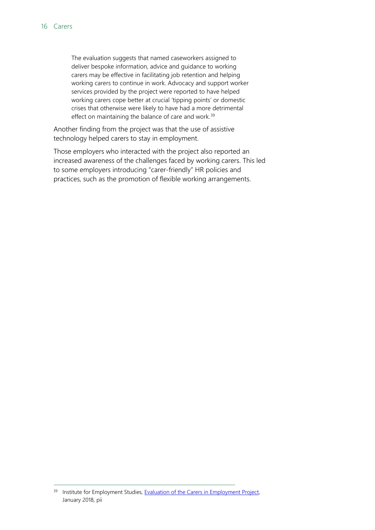The evaluation suggests that named caseworkers assigned to deliver bespoke information, advice and guidance to working carers may be effective in facilitating job retention and helping working carers to continue in work. Advocacy and support worker services provided by the project were reported to have helped working carers cope better at crucial 'tipping points' or domestic crises that otherwise were likely to have had a more detrimental effect on maintaining the balance of care and work.<sup>[39](#page-15-0)</sup>

Another finding from the project was that the use of assistive technology helped carers to stay in employment.

Those employers who interacted with the project also reported an increased awareness of the challenges faced by working carers. This led to some employers introducing "carer-friendly" HR policies and practices, such as the promotion of flexible working arrangements.

<span id="page-15-0"></span><sup>&</sup>lt;sup>39</sup> Institute for Employment Studies, **Evaluation of the Carers in Employment Project**, January 2018, pii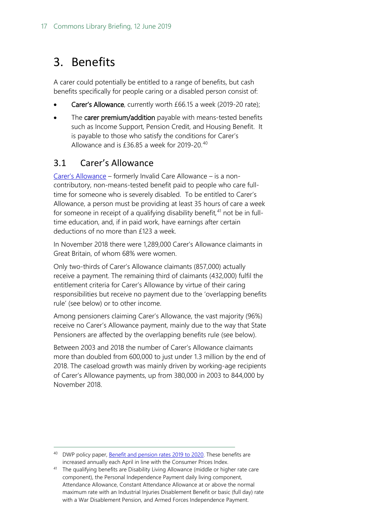## <span id="page-16-0"></span>3. Benefits

A carer could potentially be entitled to a range of benefits, but cash benefits specifically for people caring or a disabled person consist of:

- Carer's Allowance, currently worth £66.15 a week (2019-20 rate);
- The carer premium/addition payable with means-tested benefits such as Income Support, Pension Credit, and Housing Benefit. It is payable to those who satisfy the conditions for Carer's Allowance and is £36.85 a week for 2019-20.<sup>[40](#page-16-2)</sup>

### <span id="page-16-1"></span>3.1 Carer's Allowance

[Carer's Allowance](https://www.gov.uk/carers-allowance/overview) – formerly Invalid Care Allowance – is a noncontributory, non-means-tested benefit paid to people who care fulltime for someone who is severely disabled. To be entitled to Carer's Allowance, a person must be providing at least 35 hours of care a week for someone in receipt of a qualifying disability benefit,<sup>[41](#page-16-3)</sup> not be in fulltime education, and, if in paid work, have earnings after certain deductions of no more than £123 a week.

In November 2018 there were 1,289,000 Carer's Allowance claimants in Great Britain, of whom 68% were women.

Only two-thirds of Carer's Allowance claimants (857,000) actually receive a payment. The remaining third of claimants (432,000) fulfil the entitlement criteria for Carer's Allowance by virtue of their caring responsibilities but receive no payment due to the 'overlapping benefits rule' (see below) or to other income.

Among pensioners claiming Carer's Allowance, the vast majority (96%) receive no Carer's Allowance payment, mainly due to the way that State Pensioners are affected by the overlapping benefits rule (see below).

Between 2003 and 2018 the number of Carer's Allowance claimants more than doubled from 600,000 to just under 1.3 million by the end of 2018. The caseload growth was mainly driven by working-age recipients of Carer's Allowance payments, up from 380,000 in 2003 to 844,000 by November 2018.

<span id="page-16-2"></span><sup>&</sup>lt;sup>40</sup> DWP policy paper, [Benefit and pension rates 2019 to 2020.](https://www.gov.uk/government/publications/benefit-and-pension-rates-2019-to-2020/proposed-benefit-and-pension-rates-2019-to-2020#carers-allowance) These benefits are increased annually each April in line with the Consumer Prices Index.

<span id="page-16-3"></span><sup>41</sup> The qualifying benefits are Disability Living Allowance (middle or higher rate care component), the Personal Independence Payment daily living component, Attendance Allowance, Constant Attendance Allowance at or above the normal maximum rate with an Industrial Injuries Disablement Benefit or basic (full day) rate with a War Disablement Pension, and Armed Forces Independence Payment.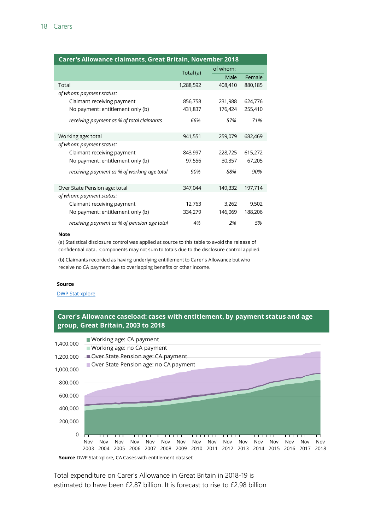| Carer's Allowance claimants, Great Britain, November 2018 |           |          |         |  |  |  |
|-----------------------------------------------------------|-----------|----------|---------|--|--|--|
|                                                           | Total (a) | of whom: |         |  |  |  |
|                                                           |           | Male     | Female  |  |  |  |
| Total                                                     | 1,288,592 | 408,410  | 880,185 |  |  |  |
| of whom: payment status:                                  |           |          |         |  |  |  |
| Claimant receiving payment                                | 856,758   | 231,988  | 624,776 |  |  |  |
| No payment: entitlement only (b)                          | 431,837   | 176,424  | 255,410 |  |  |  |
| receiving payment as % of total claimants                 | 66%       | 57%      | 71%     |  |  |  |
| Working age: total                                        | 941,551   | 259,079  | 682,469 |  |  |  |
| of whom: payment status:                                  |           |          |         |  |  |  |
| Claimant receiving payment                                | 843,997   | 228,725  | 615,272 |  |  |  |
| No payment: entitlement only (b)                          | 97,556    | 30,357   | 67,205  |  |  |  |
| receiving payment as % of working age total               | 90%       | 88%      | 90%     |  |  |  |
| Over State Pension age: total                             | 347,044   | 149,332  | 197,714 |  |  |  |
| of whom: payment status:                                  |           |          |         |  |  |  |
| Claimant receiving payment                                | 12,763    | 3,262    | 9,502   |  |  |  |
| No payment: entitlement only (b)                          | 334,279   | 146,069  | 188,206 |  |  |  |
| receiving payment as % of pension age total               | 4%        | 2%       | 5%      |  |  |  |

#### **Note**

(a) Statistical disclosure control was applied at source to this table to avoid the release of confidential data. Components may not sum to totals due to the disclosure control applied.

(b) Claimants recorded as having underlying entitlement to Carer's Allowance but who receive no CA payment due to overlapping benefits or other income.

#### **Source**

[DWP Stat-xplore](https://stat-xplore.dwp.gov.uk/webapi/jsf/dataCatalogueExplorer.xhtml)





**Source** DWP Stat-xplore, CA Cases with entitlement dataset

Total expenditure on Carer's Allowance in Great Britain in 2018-19 is estimated to have been £2.87 billion. It is forecast to rise to £2.98 billion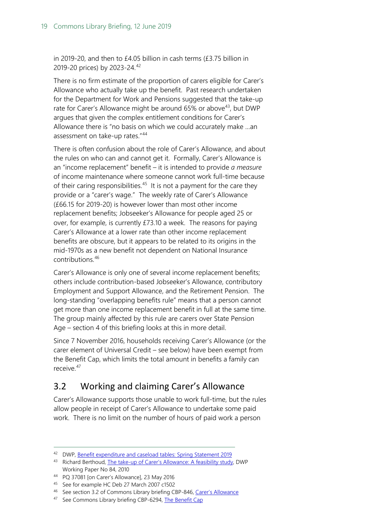in 2019-20, and then to £4.05 billion in cash terms (£3.75 billion in 2019-20 prices) by 2023-24. [42](#page-18-1)

There is no firm estimate of the proportion of carers eligible for Carer's Allowance who actually take up the benefit. Past research undertaken for the Department for Work and Pensions suggested that the take-up rate for Carer's Allowance might be around 65% or above<sup>[43](#page-18-2)</sup>, but DWP argues that given the complex entitlement conditions for Carer's Allowance there is "no basis on which we could accurately make …an assessment on take-up rates."[44](#page-18-3)

There is often confusion about the role of Carer's Allowance, and about the rules on who can and cannot get it. Formally, Carer's Allowance is an "income replacement" benefit – it is intended to provide *a measure* of income maintenance where someone cannot work full-time because of their caring responsibilities.<sup>45</sup> It is not a payment for the care they provide or a "carer's wage." The weekly rate of Carer's Allowance (£66.15 for 2019-20) is however lower than most other income replacement benefits; Jobseeker's Allowance for people aged 25 or over, for example, is currently £73.10 a week. The reasons for paying Carer's Allowance at a lower rate than other income replacement benefits are obscure, but it appears to be related to its origins in the mid-1970s as a new benefit not dependent on National Insurance contributions.[46](#page-18-5)

Carer's Allowance is only one of several income replacement benefits; others include contribution-based Jobseeker's Allowance, contributory Employment and Support Allowance, and the Retirement Pension. The long-standing "overlapping benefits rule" means that a person cannot get more than one income replacement benefit in full at the same time. The group mainly affected by this rule are carers over State Pension Age – section 4 of this briefing looks at this in more detail.

Since 7 November 2016, households receiving Carer's Allowance (or the carer element of Universal Credit – see below) have been exempt from the Benefit Cap, which limits the total amount in benefits a family can receive.<sup>[47](#page-18-6)</sup>

### <span id="page-18-0"></span>3.2 Working and claiming Carer's Allowance

Carer's Allowance supports those unable to work full-time, but the rules allow people in receipt of Carer's Allowance to undertake some paid work. There is no limit on the number of hours of paid work a person

<span id="page-18-1"></span> <sup>42</sup> DWP, [Benefit expenditure and caseload tables: Spring Statement 2019](https://www.gov.uk/government/publications/benefit-expenditure-and-caseload-tables-2019)

<span id="page-18-2"></span><sup>43</sup> Richard Berthoud, [The take-up of Carer's Allowance: A feasibility study,](https://www.gov.uk/government/uploads/system/uploads/attachment_data/file/207552/wp84.pdf) DWP Working Paper No 84, 2010

<span id="page-18-3"></span><sup>44</sup> PQ 37081 [on Carer's Allowance], 23 May 2016

<span id="page-18-4"></span><sup>45</sup> See for example HC Deb 27 March 2007 c1502

<span id="page-18-5"></span><sup>46</sup> See section 3.2 of Commons Library briefing CBP-846[, Carer's Allowance](http://researchbriefings.parliament.uk/ResearchBriefing/Summary/SN00846)

<span id="page-18-6"></span><sup>47</sup> See Commons Library briefing CBP-6294, [The Benefit Cap](http://researchbriefings.parliament.uk/ResearchBriefing/Summary/SN06294)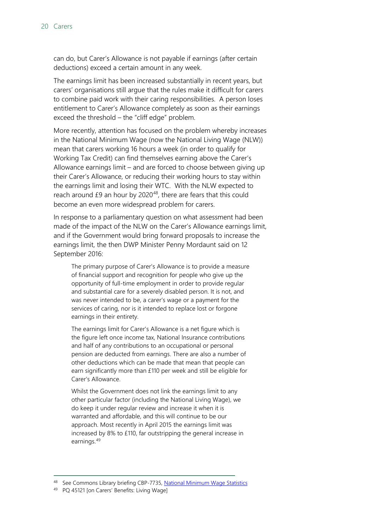can do, but Carer's Allowance is not payable if earnings (after certain deductions) exceed a certain amount in any week.

The earnings limit has been increased substantially in recent years, but carers' organisations still argue that the rules make it difficult for carers to combine paid work with their caring responsibilities. A person loses entitlement to Carer's Allowance completely as soon as their earnings exceed the threshold – the "cliff edge" problem.

More recently, attention has focused on the problem whereby increases in the National Minimum Wage (now the National Living Wage (NLW)) mean that carers working 16 hours a week (in order to qualify for Working Tax Credit) can find themselves earning above the Carer's Allowance earnings limit – and are forced to choose between giving up their Carer's Allowance, or reducing their working hours to stay within the earnings limit and losing their WTC. With the NLW expected to reach around  $£9$  an hour by 2020<sup>[48](#page-19-0)</sup>, there are fears that this could become an even more widespread problem for carers.

In response to a parliamentary question on what assessment had been made of the impact of the NLW on the Carer's Allowance earnings limit, and if the Government would bring forward proposals to increase the earnings limit, the then DWP Minister Penny Mordaunt said on 12 September 2016:

The primary purpose of Carer's Allowance is to provide a measure of financial support and recognition for people who give up the opportunity of full-time employment in order to provide regular and substantial care for a severely disabled person. It is not, and was never intended to be, a carer's wage or a payment for the services of caring, nor is it intended to replace lost or forgone earnings in their entirety.

The earnings limit for Carer's Allowance is a net figure which is the figure left once income tax, National Insurance contributions and half of any contributions to an occupational or personal pension are deducted from earnings. There are also a number of other deductions which can be made that mean that people can earn significantly more than £110 per week and still be eligible for Carer's Allowance.

Whilst the Government does not link the earnings limit to any other particular factor (including the National Living Wage), we do keep it under regular review and increase it when it is warranted and affordable, and this will continue to be our approach. Most recently in April 2015 the earnings limit was increased by 8% to £110, far outstripping the general increase in earnings.[49](#page-19-1)

<span id="page-19-0"></span><sup>48</sup> See Commons Library briefing CBP-7735[, National Minimum Wage Statistics](http://researchbriefings.parliament.uk/ResearchBriefing/Summary/CBP-7735)

<span id="page-19-1"></span><sup>&</sup>lt;sup>49</sup> PQ 45121 [on Carers' Benefits: Living Wage]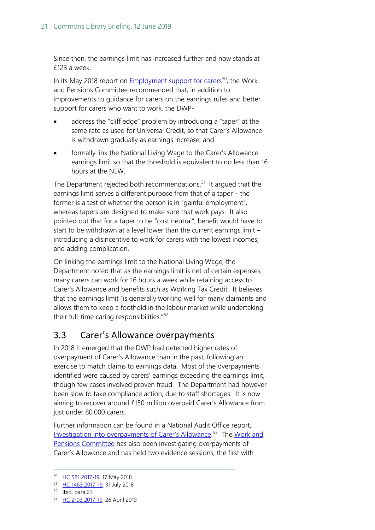Since then, the earnings limit has increased further and now stands at £123 a week.

In its May 2018 report on [Employment support for carers](https://www.parliament.uk/business/committees/committees-a-z/commons-select/work-and-pensions-committee/inquiries/parliament-2017/support-carers-inquiry-17-19/)<sup>[50](#page-20-1)</sup>, the Work and Pensions Committee recommended that, in addition to improvements to guidance for carers on the earnings rules and better support for carers who want to work, the DWP-

- address the "cliff edge" problem by introducing a "taper" at the same rate as used for Universal Credit, so that Carer's Allowance is withdrawn gradually as earnings increase; and
- formally link the National Living Wage to the Carer's Allowance earnings limit so that the threshold is equivalent to no less than 16 hours at the NLW.

The Department rejected both recommendations.<sup>[51](#page-20-2)</sup> It argued that the earnings limit serves a different purpose from that of a taper – the former is a test of whether the person is in "gainful employment", whereas tapers are designed to make sure that work pays. It also pointed out that for a taper to be "cost neutral", benefit would have to start to be withdrawn at a level lower than the current earnings limit – introducing a disincentive to work for carers with the lowest incomes, and adding complication.

On linking the earnings limit to the National Living Wage, the Department noted that as the earnings limit is net of certain expenses, many carers can work for 16 hours a week while retaining access to Carer's Allowance and benefits such as Working Tax Credit. It believes that the earnings limit "is generally working well for many claimants and allows them to keep a foothold in the labour market while undertaking their full-time caring responsibilities."[52](#page-20-3)

### <span id="page-20-0"></span>3.3 Carer's Allowance overpayments

In 2018 it emerged that the DWP had detected higher rates of overpayment of Carer's Allowance than in the past, following an exercise to match claims to earnings data. Most of the overpayments identified were caused by carers' earnings exceeding the earnings limit, though few cases involved proven fraud. The Department had however been slow to take compliance action, due to staff shortages. It is now aiming to recover around £150 million overpaid Carer's Allowance from just under 80,000 carers.

Further information can be found in a National Audit Office report, [Investigation into overpayments of Carer's Allowance.](https://www.nao.org.uk/report/investigation-into-overpayments-of-carers-allowance/)<sup>53</sup> The Work and [Pensions Committee](https://www.parliament.uk/business/committees/committees-a-z/commons-select/work-and-pensions-committee/inquiries/parliament-2017/inquiry14/) has also been investigating overpayments of Carer's Allowance and has held two evidence sessions, the first with

<span id="page-20-1"></span> <sup>50</sup> [HC 581 2017-19,](https://publications.parliament.uk/pa/cm201719/cmselect/cmworpen/581/58102.htm) 17 May 2018

<span id="page-20-2"></span><sup>51</sup> [HC 1463 2017-19,](https://publications.parliament.uk/pa/cm201719/cmselect/cmworpen/1463/146302.htm) 31 July 2018

<span id="page-20-3"></span><sup>52</sup> Ibid. para 23

<span id="page-20-4"></span><sup>53</sup> [HC 2103 2017-19,](https://www.nao.org.uk/report/investigation-into-overpayments-of-carers-allowance/) 26 April 2019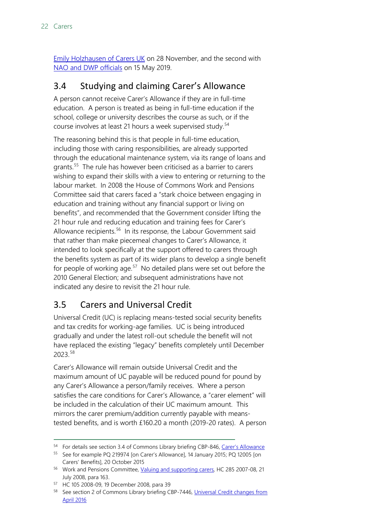[Emily Holzhausen of Carers UK](http://data.parliament.uk/writtenevidence/committeeevidence.svc/evidencedocument/work-and-pensions-committee/overpayments-of-carers-allowance/oral/93085.html) on 28 November, and the second with [NAO and DWP officials](http://data.parliament.uk/writtenevidence/committeeevidence.svc/evidencedocument/work-and-pensions-committee/overpayments-of-carers-allowance/oral/102246.html) on 15 May 2019.

### <span id="page-21-0"></span>3.4 Studying and claiming Carer's Allowance

A person cannot receive Carer's Allowance if they are in full-time education. A person is treated as being in full-time education if the school, college or university describes the course as such, or if the course involves at least 21 hours a week supervised study.<sup>[54](#page-21-2)</sup>

The reasoning behind this is that people in full-time education, including those with caring responsibilities, are already supported through the educational maintenance system, via its range of loans and grants.<sup>[55](#page-21-3)</sup> The rule has however been criticised as a barrier to carers wishing to expand their skills with a view to entering or returning to the labour market. In 2008 the House of Commons Work and Pensions Committee said that carers faced a "stark choice between engaging in education and training without any financial support or living on benefits", and recommended that the Government consider lifting the 21 hour rule and reducing education and training fees for Carer's Allowance recipients.<sup>56</sup> In its response, the Labour Government said that rather than make piecemeal changes to Carer's Allowance, it intended to look specifically at the support offered to carers through the benefits system as part of its wider plans to develop a single benefit for people of working age. $57$  No detailed plans were set out before the 2010 General Election; and subsequent administrations have not indicated any desire to revisit the 21 hour rule.

## <span id="page-21-1"></span>3.5 Carers and Universal Credit

Universal Credit (UC) is replacing means-tested social security benefits and tax credits for working-age families. UC is being introduced gradually and under the latest roll-out schedule the benefit will not have replaced the existing "legacy" benefits completely until December 2023. [58](#page-21-6)

Carer's Allowance will remain outside Universal Credit and the maximum amount of UC payable will be reduced pound for pound by any Carer's Allowance a person/family receives. Where a person satisfies the care conditions for Carer's Allowance, a "carer element" will be included in the calculation of their UC maximum amount. This mirrors the carer premium/addition currently payable with meanstested benefits, and is worth £160.20 a month (2019-20 rates). A person

<span id="page-21-2"></span><sup>&</sup>lt;sup>54</sup> For details see section 3.4 of Commons Library briefing CBP-846, [Carer's Allowance](http://researchbriefings.parliament.uk/ResearchBriefing/Summary/SN00846)

<span id="page-21-3"></span><sup>55</sup> See for example PQ 219974 [on Carer's Allowance], 14 January 2015; PQ 12005 [on Carers' Benefits], 20 October 2015

<span id="page-21-4"></span><sup>&</sup>lt;sup>56</sup> Work and Pensions Committee, [Valuing and supporting carers,](http://www.publications.parliament.uk/pa/cm200708/cmselect/cmworpen/485/48502.htm) HC 285 2007-08, 21 July 2008, para 163.

<span id="page-21-5"></span><sup>57</sup> HC 105 2008-09, 19 December 2008, para 39

<span id="page-21-6"></span><sup>58</sup> See section 2 of Commons Library briefing CBP-7446, Universal Credit changes from [April 2016](http://researchbriefings.parliament.uk/ResearchBriefing/Summary/CBP-7446)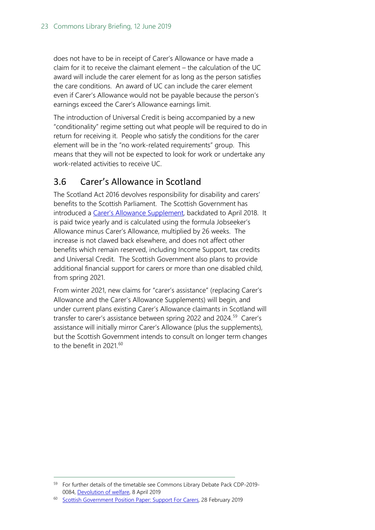does not have to be in receipt of Carer's Allowance or have made a claim for it to receive the claimant element – the calculation of the UC award will include the carer element for as long as the person satisfies the care conditions. An award of UC can include the carer element even if Carer's Allowance would not be payable because the person's earnings exceed the Carer's Allowance earnings limit.

The introduction of Universal Credit is being accompanied by a new "conditionality" regime setting out what people will be required to do in return for receiving it. People who satisfy the conditions for the carer element will be in the "no work-related requirements" group. This means that they will not be expected to look for work or undertake any work-related activities to receive UC.

### <span id="page-22-0"></span>3.6 Carer's Allowance in Scotland

The Scotland Act 2016 devolves responsibility for disability and carers' benefits to the Scottish Parliament. The Scottish Government has introduced a [Carer's Allowance Supplement,](https://www.mygov.scot/carers-allowance-supplement/) backdated to April 2018. It is paid twice yearly and is calculated using the formula Jobseeker's Allowance minus Carer's Allowance, multiplied by 26 weeks. The increase is not clawed back elsewhere, and does not affect other benefits which remain reserved, including Income Support, tax credits and Universal Credit. The Scottish Government also plans to provide additional financial support for carers or more than one disabled child, from spring 2021.

From winter 2021, new claims for "carer's assistance" (replacing Carer's Allowance and the Carer's Allowance Supplements) will begin, and under current plans existing Carer's Allowance claimants in Scotland will transfer to carer's assistance between spring 2022 and 2024.<sup>[59](#page-22-1)</sup> Carer's assistance will initially mirror Carer's Allowance (plus the supplements), but the Scottish Government intends to consult on longer term changes to the benefit in 2021.<sup>[60](#page-22-2)</sup>

<span id="page-22-1"></span> <sup>59</sup> For further details of the timetable see Commons Library Debate Pack CDP-2019- 0084, [Devolution of welfare,](https://researchbriefings.parliament.uk/ResearchBriefing/Summary/CDP-2019-0084) 8 April 2019

<span id="page-22-2"></span><sup>60</sup> [Scottish Government Position Paper: Support For Carers,](https://www.gov.scot/publications/support-carers-policy-position-paper/) 28 February 2019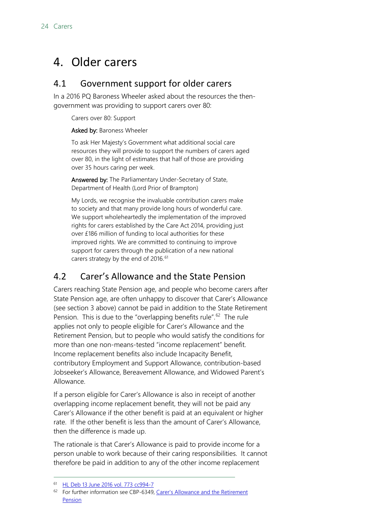## <span id="page-23-0"></span>4. Older carers

### <span id="page-23-1"></span>4.1 Government support for older carers

In a 2016 PQ Baroness Wheeler asked about the resources the thengovernment was providing to support carers over 80:

Carers over 80: Support

Asked by: Baroness Wheeler

To ask Her Majesty's Government what additional social care resources they will provide to support the numbers of carers aged over 80, in the light of estimates that half of those are providing over 35 hours caring per week.

Answered by: The Parliamentary Under-Secretary of State, Department of Health (Lord Prior of Brampton)

My Lords, we recognise the invaluable contribution carers make to society and that many provide long hours of wonderful care. We support wholeheartedly the implementation of the improved rights for carers established by the Care Act 2014, providing just over £186 million of funding to local authorities for these improved rights. We are committed to continuing to improve support for carers through the publication of a new national carers strategy by the end of 2016.<sup>[61](#page-23-3)</sup>

## <span id="page-23-2"></span>4.2 Carer's Allowance and the State Pension

Carers reaching State Pension age, and people who become carers after State Pension age, are often unhappy to discover that Carer's Allowance (see section 3 above) cannot be paid in addition to the State Retirement Pension. This is due to the "overlapping benefits rule".<sup>[62](#page-23-4)</sup> The rule applies not only to people eligible for Carer's Allowance and the Retirement Pension, but to people who would satisfy the conditions for more than one non-means-tested "income replacement" benefit. Income replacement benefits also include Incapacity Benefit, contributory Employment and Support Allowance, contribution-based Jobseeker's Allowance, Bereavement Allowance, and Widowed Parent's Allowance.

If a person eligible for Carer's Allowance is also in receipt of another overlapping income replacement benefit, they will not be paid any Carer's Allowance if the other benefit is paid at an equivalent or higher rate. If the other benefit is less than the amount of Carer's Allowance, then the difference is made up.

The rationale is that Carer's Allowance is paid to provide income for a person unable to work because of their caring responsibilities. It cannot therefore be paid in addition to any of the other income replacement

<span id="page-23-3"></span> <sup>61</sup> [HL Deb 13 June 2016 vol. 773 cc994-7](https://hansard.parliament.uk/lords/2016-06-13/debates/72962D7C-5B8B-499A-81B0-16618C0A32FE/CarersOver80Support)

<span id="page-23-4"></span><sup>&</sup>lt;sup>62</sup> For further information see CBP-6349, Carer's Allowance and the Retirement [Pension](http://researchbriefings.parliament.uk/ResearchBriefing/Summary/SN06349)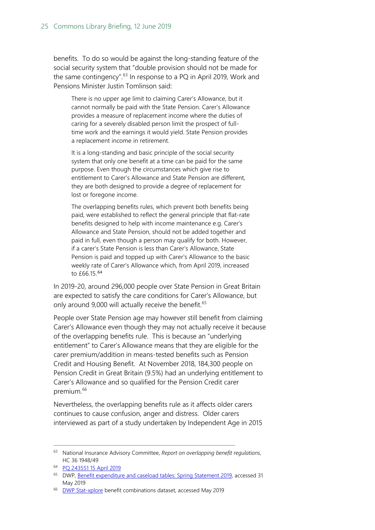benefits. To do so would be against the long-standing feature of the social security system that "double provision should not be made for the same contingency".<sup>[63](#page-24-0)</sup> In response to a PQ in April 2019, Work and Pensions Minister Justin Tomlinson said:

There is no upper age limit to claiming Carer's Allowance, but it cannot normally be paid with the State Pension. Carer's Allowance provides a measure of replacement income where the duties of caring for a severely disabled person limit the prospect of fulltime work and the earnings it would yield. State Pension provides a replacement income in retirement.

It is a long-standing and basic principle of the social security system that only one benefit at a time can be paid for the same purpose. Even though the circumstances which give rise to entitlement to Carer's Allowance and State Pension are different, they are both designed to provide a degree of replacement for lost or foregone income.

The overlapping benefits rules, which prevent both benefits being paid, were established to reflect the general principle that flat-rate benefits designed to help with income maintenance e.g. Carer's Allowance and State Pension, should not be added together and paid in full, even though a person may qualify for both. However, if a carer's State Pension is less than Carer's Allowance, State Pension is paid and topped up with Carer's Allowance to the basic weekly rate of Carer's Allowance which, from April 2019, increased to £66.15.[64](#page-24-1)

In 2019-20, around 296,000 people over State Pension in Great Britain are expected to satisfy the care conditions for Carer's Allowance, but only around 9,000 will actually receive the benefit.<sup>[65](#page-24-2)</sup>

People over State Pension age may however still benefit from claiming Carer's Allowance even though they may not actually receive it because of the overlapping benefits rule. This is because an "underlying entitlement" to Carer's Allowance means that they are eligible for the carer premium/addition in means-tested benefits such as Pension Credit and Housing Benefit. At November 2018, 184,300 people on Pension Credit in Great Britain (9.5%) had an underlying entitlement to Carer's Allowance and so qualified for the Pension Credit carer premium.<sup>[66](#page-24-3)</sup>

Nevertheless, the overlapping benefits rule as it affects older carers continues to cause confusion, anger and distress. Older carers interviewed as part of a study undertaken by Independent Age in 2015

<span id="page-24-0"></span> <sup>63</sup> National Insurance Advisory Committee, *Report on overlapping benefit regulations*, HC 36 1948/49

<span id="page-24-1"></span><sup>64</sup> [PQ 243551 15 April 2019](https://www.parliament.uk/written-questions-answers-statements/written-question/commons/2019-04-10/243551)

<span id="page-24-2"></span><sup>&</sup>lt;sup>65</sup> DWP, [Benefit expenditure and caseload tables: Spring Statement 2019,](https://www.gov.uk/government/publications/benefit-expenditure-and-caseload-tables-2019) accessed 31 May 2019

<span id="page-24-3"></span><sup>&</sup>lt;sup>66</sup> [DWP Stat-xplore](https://stat-xplore.dwp.gov.uk/webapi/jsf/dataCatalogueExplorer.xhtml) benefit combinations dataset, accessed May 2019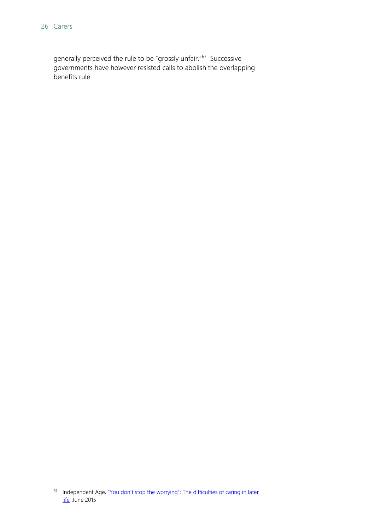generally perceived the rule to be "grossly unfair."[67](#page-25-0) Successive governments have however resisted calls to abolish the overlapping benefits rule.

<span id="page-25-0"></span><sup>&</sup>lt;sup>67</sup> Independent Age, "You don't stop the worrying": The difficulties of caring in later [life,](https://www.independentage.org/sites/default/files/2016-05/%27You%20don%27t%20stop%20the%20worrying%20%27%20report.pdf) June 2015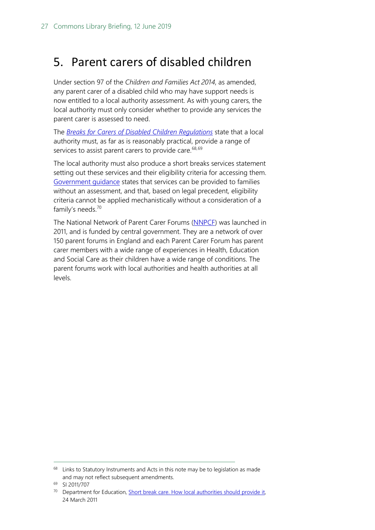## <span id="page-26-0"></span>5. Parent carers of disabled children

Under section 97 of the *Children and Families Act 2014*, as amended, any parent carer of a disabled child who may have support needs is now entitled to a local authority assessment. As with young carers, the local authority must only consider whether to provide any services the parent carer is assessed to need.

The *[Breaks for Carers of Disabled Children Regulations](http://www.legislation.gov.uk/uksi/2011/707/pdfs/uksi_20110707_en.pdf)* state that a local authority must, as far as is reasonably practical, provide a range of services to assist parent carers to provide care.  $68,69$  $68,69$  $68,69$ 

The local authority must also produce a short breaks services statement setting out these services and their eligibility criteria for accessing them. [Government guidance](https://www.gov.uk/government/publications/short-breaks-for-carers-of-disabled-children) states that services can be provided to families without an assessment, and that, based on legal precedent, eligibility criteria cannot be applied mechanistically without a consideration of a family's needs.<sup>[70](#page-26-3)</sup>

The National Network of Parent Carer Forums [\(NNPCF\)](http://www.nnpcf.org.uk/) was launched in 2011, and is funded by central government. They are a network of over 150 parent forums in England and each Parent Carer Forum has parent carer members with a wide range of experiences in Health, Education and Social Care as their children have a wide range of conditions. The parent forums work with local authorities and health authorities at all levels.

<span id="page-26-1"></span> $68$  Links to Statutory Instruments and Acts in this note may be to legislation as made and may not reflect subsequent amendments.

<span id="page-26-2"></span><sup>69</sup> SI 2011/707

<span id="page-26-3"></span><sup>&</sup>lt;sup>70</sup> Department for Education, Short break care. How local authorities should provide it, 24 March 2011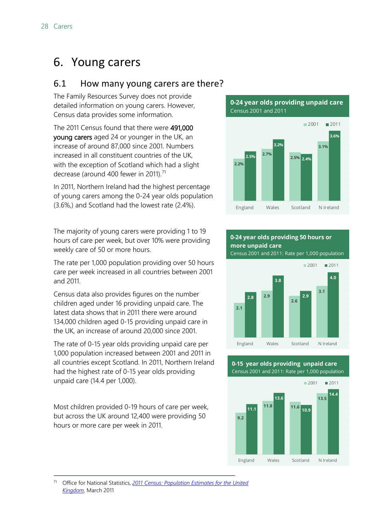## <span id="page-27-0"></span>6. Young carers

### <span id="page-27-1"></span>6.1 How many young carers are there?

The Family Resources Survey does not provide detailed information on young carers. However, Census data provides some information.

The 2011 Census found that there were 491,000 young carers aged 24 or younger in the UK, an increase of around 87,000 since 2001. Numbers increased in all constituent countries of the UK, with the exception of Scotland which had a slight decrease (around 400 fewer in 2011).<sup>[71](#page-27-2)</sup>

In 2011, Northern Ireland had the highest percentage of young carers among the 0-24 year olds population (3.6%,) and Scotland had the lowest rate (2.4%).

The majority of young carers were providing 1 to 19 hours of care per week, but over 10% were providing weekly care of 50 or more hours.

The rate per 1,000 population providing over 50 hours care per week increased in all countries between 2001 and 2011.

Census data also provides figures on the number children aged under 16 providing unpaid care. The latest data shows that in 2011 there were around 134,000 children aged 0-15 providing unpaid care in the UK, an increase of around 20,000 since 2001.

The rate of 0-15 year olds providing unpaid care per 1,000 population increased between 2001 and 2011 in all countries except Scotland. In 2011, Northern Ireland had the highest rate of 0-15 year olds providing unpaid care (14.4 per 1,000).

Most children provided 0-19 hours of care per week, but across the UK around 12,400 were providing 50 hours or more care per week in 2011.

**0-24 year olds providing unpaid care** Census 2001 and 2011



#### **0-24 year olds providing 50 hours or more unpaid care**

Census 2001 and 2011: Rate per 1,000 population



Census 2001 and 2011: Rate per 1,000 population **0-15 year olds providing unpaid care**



<span id="page-27-2"></span> 71 Office for National Statistics, *[2011 Census: Population Estimates for the United](https://www.ons.gov.uk/peoplepopulationandcommunity/populationandmigration/populationestimates/bulletins/2011censuspopulationestimatesfortheunitedkingdom/2012-12-17)  [Kingdom](https://www.ons.gov.uk/peoplepopulationandcommunity/populationandmigration/populationestimates/bulletins/2011censuspopulationestimatesfortheunitedkingdom/2012-12-17)*, March 2011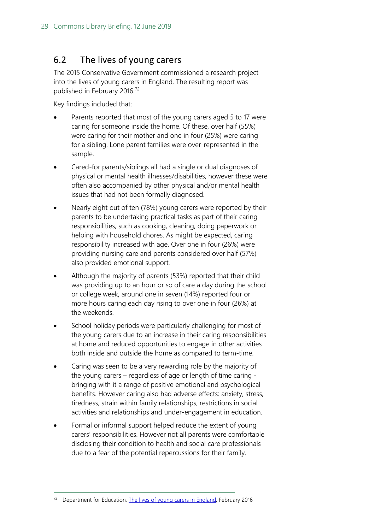### <span id="page-28-0"></span>6.2 The lives of young carers

The 2015 Conservative Government commissioned a research project into the lives of young carers in England. The resulting report was published in February 2016.<sup>[72](#page-28-1)</sup>

Key findings included that:

- Parents reported that most of the young carers aged 5 to 17 were caring for someone inside the home. Of these, over half (55%) were caring for their mother and one in four (25%) were caring for a sibling. Lone parent families were over-represented in the sample.
- Cared-for parents/siblings all had a single or dual diagnoses of physical or mental health illnesses/disabilities, however these were often also accompanied by other physical and/or mental health issues that had not been formally diagnosed.
- Nearly eight out of ten (78%) young carers were reported by their parents to be undertaking practical tasks as part of their caring responsibilities, such as cooking, cleaning, doing paperwork or helping with household chores. As might be expected, caring responsibility increased with age. Over one in four (26%) were providing nursing care and parents considered over half (57%) also provided emotional support.
- Although the majority of parents (53%) reported that their child was providing up to an hour or so of care a day during the school or college week, around one in seven (14%) reported four or more hours caring each day rising to over one in four (26%) at the weekends.
- School holiday periods were particularly challenging for most of the young carers due to an increase in their caring responsibilities at home and reduced opportunities to engage in other activities both inside and outside the home as compared to term-time.
- Caring was seen to be a very rewarding role by the majority of the young carers – regardless of age or length of time caring bringing with it a range of positive emotional and psychological benefits. However caring also had adverse effects: anxiety, stress, tiredness, strain within family relationships, restrictions in social activities and relationships and under-engagement in education.
- Formal or informal support helped reduce the extent of young carers' responsibilities. However not all parents were comfortable disclosing their condition to health and social care professionals due to a fear of the potential repercussions for their family.

<span id="page-28-1"></span><sup>&</sup>lt;sup>72</sup> Department for Education, [The lives of young carers in England,](https://www.gov.uk/government/publications/the-lives-of-young-carers-in-england) February 2016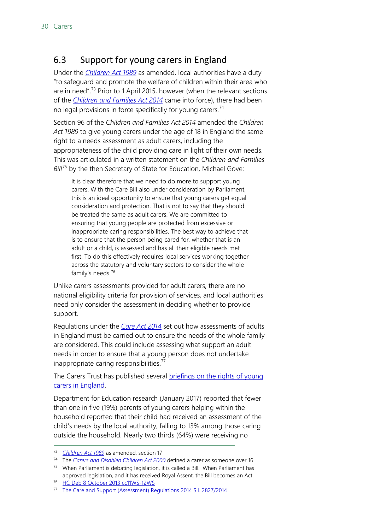### <span id="page-29-0"></span>6.3 Support for young carers in England

Under the *[Children Act 1989](http://www.legislation.gov.uk/ukpga/1989/41/contents)* as amended, local authorities have a duty "to safeguard and promote the welfare of children within their area who are in need".<sup>[73](#page-29-1)</sup> Prior to 1 April 2015, however (when the relevant sections of the *[Children and Families Act 2014](http://www.legislation.gov.uk/ukpga/2014/6/contents/enacted)* came into force), there had been no legal provisions in force specifically for young carers.<sup>[74](#page-29-2)</sup>

Section 96 of the *Children and Families Act 2014* amended the *Children Act 1989* to give young carers under the age of 18 in England the same right to a needs assessment as adult carers, including the appropriateness of the child providing care in light of their own needs. This was articulated in a written statement on the *Children and Families Bill*<sup>[75](#page-29-3)</sup> by the then Secretary of State for Education, Michael Gove:

It is clear therefore that we need to do more to support young carers. With the Care Bill also under consideration by Parliament, this is an ideal opportunity to ensure that young carers get equal consideration and protection. That is not to say that they should be treated the same as adult carers. We are committed to ensuring that young people are protected from excessive or inappropriate caring responsibilities. The best way to achieve that is to ensure that the person being cared for, whether that is an adult or a child, is assessed and has all their eligible needs met first. To do this effectively requires local services working together across the statutory and voluntary sectors to consider the whole family's needs.[76](#page-29-4)

Unlike carers assessments provided for adult carers, there are no national eligibility criteria for provision of services, and local authorities need only consider the assessment in deciding whether to provide support.

Regulations under the *[Care Act 2014](http://www.legislation.gov.uk/ukpga/2014/23/contents/enacted)* set out how assessments of adults in England must be carried out to ensure the needs of the whole family are considered. This could include assessing what support an adult needs in order to ensure that a young person does not undertake inappropriate caring responsibilities.<sup>[77](#page-29-5)</sup>

The Carers Trust has published several **briefings on the rights of young** [carers in England.](https://professionals.carers.org/new-rights-young-carers-england)

Department for Education research (January 2017) reported that fewer than one in five (19%) parents of young carers helping within the household reported that their child had received an assessment of the child's needs by the local authority, falling to 13% among those caring outside the household. Nearly two thirds (64%) were receiving no

<span id="page-29-1"></span> <sup>73</sup> *[Children Act 1989](http://www.legislation.gov.uk/ukpga/1989/41/part/III/crossheading/provision-of-services-for-children-and-their-families)* as amended, section 17

<span id="page-29-2"></span><sup>74</sup> The *[Carers and Disabled Children Act 2000](http://www.legislation.gov.uk/ukpga/2000/16/contents)* defined a carer as someone over 16.

<span id="page-29-3"></span><sup>75</sup> When Parliament is debating legislation, it is called a Bill. When Parliament has approved legislation, and it has received Royal Assent, the Bill becomes an Act.

<span id="page-29-4"></span><sup>&</sup>lt;sup>76</sup> [HC Deb 8 October 2013 cc11WS-12WS](http://www.publications.parliament.uk/pa/cm201314/cmhansrd/cm131008/wmstext/131008m0001.htm#13100836000021)

<span id="page-29-5"></span><sup>&</sup>lt;sup>77</sup> [The Care and Support \(Assessment\) Regulations 2014 S.I. 2827/2014](http://www.legislation.gov.uk/uksi/2014/2827/contents/made)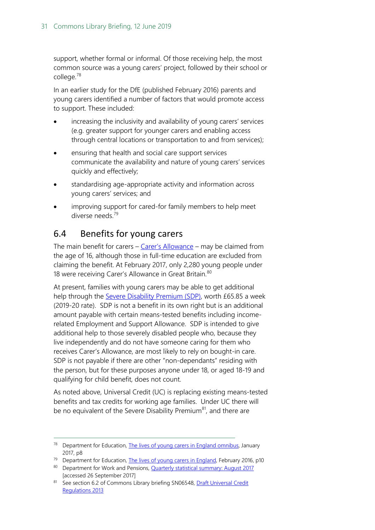support, whether formal or informal. Of those receiving help, the most common source was a young carers' project, followed by their school or college.[78](#page-30-1)

In an earlier study for the DfE (published February 2016) parents and young carers identified a number of factors that would promote access to support. These included:

- increasing the inclusivity and availability of young carers' services (e.g. greater support for younger carers and enabling access through central locations or transportation to and from services);
- ensuring that health and social care support services communicate the availability and nature of young carers' services quickly and effectively;
- standardising age-appropriate activity and information across young carers' services; and
- improving support for cared-for family members to help meet diverse needs.<sup>[79](#page-30-2)</sup>

### <span id="page-30-0"></span>6.4 Benefits for young carers

The main benefit for carers  $-$  [Carer's Allowance](https://www.gov.uk/carers-allowance) – may be claimed from the age of 16, although those in full-time education are excluded from claiming the benefit. At February 2017, only 2,280 young people under 18 were receiving Carer's Allowance in Great Britain.<sup>[80](#page-30-3)</sup>

At present, families with young carers may be able to get additional help through the [Severe Disability Premium](https://www.gov.uk/disability-premiums-income-support/what-youll-get) (SDP), worth £65.85 a week (2019-20 rate). SDP is not a benefit in its own right but is an additional amount payable with certain means-tested benefits including incomerelated Employment and Support Allowance. SDP is intended to give additional help to those severely disabled people who, because they live independently and do not have someone caring for them who receives Carer's Allowance, are most likely to rely on bought-in care. SDP is not payable if there are other "non-dependants" residing with the person, but for these purposes anyone under 18, or aged 18-19 and qualifying for child benefit, does not count.

As noted above, Universal Credit (UC) is replacing existing means-tested benefits and tax credits for working age families. Under UC there will be no equivalent of the Severe Disability Premium<sup>[81](#page-30-4)</sup>, and there are

<span id="page-30-2"></span><sup>79</sup> Department for Education, [The lives of young carers in England,](https://www.gov.uk/government/publications/the-lives-of-young-carers-in-england) February 2016, p10

<span id="page-30-1"></span><sup>&</sup>lt;sup>78</sup> Department for Education, [The lives of young carers in England omnibus,](https://www.gov.uk/government/publications/the-lives-of-young-carers-in-england) January 2017, p8

<span id="page-30-3"></span><sup>80</sup> Department for Work and Pensions, [Quarterly statistical summary: August 2017](https://www.gov.uk/government/statistics/dwp-statistical-summaries-2017) [accessed 26 September 2017]

<span id="page-30-4"></span><sup>81</sup> See section 6.2 of Commons Library briefing SN06548, Draft Universal Credit [Regulations 2013](http://researchbriefings.parliament.uk/ResearchBriefing/Summary/SN06548)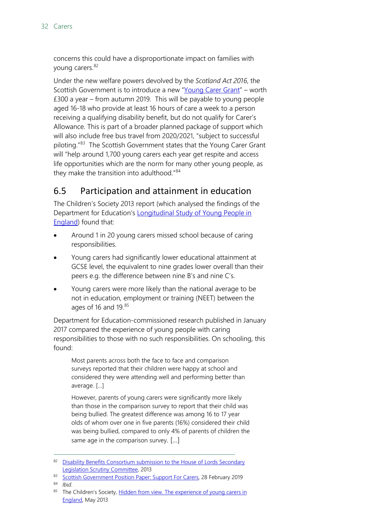concerns this could have a disproportionate impact on families with young carers.<sup>[82](#page-31-1)</sup>

Under the new welfare powers devolved by the *Scotland Act 2016*, the Scottish Government is to introduce a new ["Young Carer Grant"](https://young.scot/information/rights/young-carer-grant/) – worth £300 a year – from autumn 2019. This will be payable to young people aged 16-18 who provide at least 16 hours of care a week to a person receiving a qualifying disability benefit, but do not qualify for Carer's Allowance. This is part of a broader planned package of support which will also include free bus travel from 2020/2021, "subject to successful piloting." [83](#page-31-2) The Scottish Government states that the Young Carer Grant will "help around 1,700 young carers each year get respite and access life opportunities which are the norm for many other young people, as they make the transition into adulthood." [84](#page-31-3)

## <span id="page-31-0"></span>6.5 Participation and attainment in education

The Children's Society 2013 report (which analysed the findings of the Department for Education's Longitudinal Study of Young People in [England\)](https://www.gov.uk/government/collections/statistics-youth-cohort-study) found that:

- Around 1 in 20 young carers missed school because of caring responsibilities.
- Young carers had significantly lower educational attainment at GCSE level, the equivalent to nine grades lower overall than their peers e.g. the difference between nine B's and nine C's.
- Young carers were more likely than the national average to be not in education, employment or training (NEET) between the ages of 16 and 19.[85](#page-31-4)

Department for Education-commissioned research published in January 2017 compared the experience of young people with caring responsibilities to those with no such responsibilities. On schooling, this found:

Most parents across both the face to face and comparison surveys reported that their children were happy at school and considered they were attending well and performing better than average. […]

However, parents of young carers were significantly more likely than those in the comparison survey to report that their child was being bullied. The greatest difference was among 16 to 17 year olds of whom over one in five parents (16%) considered their child was being bullied, compared to only 4% of parents of children the same age in the comparison survey. […]

<span id="page-31-1"></span><sup>82</sup> Disability Benefits Consortium submission to the House of Lords Secondary [Legislation Scrutiny Committee,](http://www.parliament.uk/documents/lords-committees/Secondary-Legislation-Scrutiny-Committee/Disability-Benefits-Consortium-submission-Universal-Credit.pdf) 2013

<span id="page-31-2"></span><sup>83</sup> [Scottish Government Position Paper: Support For Carers,](https://www.gov.scot/publications/support-carers-policy-position-paper/) 28 February 2019

<span id="page-31-4"></span><span id="page-31-3"></span><sup>84</sup> *Ibid*.

<sup>85</sup> The Children's Society, Hidden from view. The experience of young carers in [England,](http://www.childrenssociety.org.uk/sites/default/files/tcs/hidden_from_view_-_final.pdf) May 2013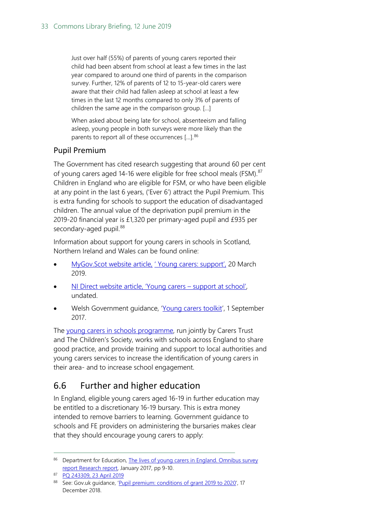Just over half (55%) of parents of young carers reported their child had been absent from school at least a few times in the last year compared to around one third of parents in the comparison survey. Further, 12% of parents of 12 to 15-year-old carers were aware that their child had fallen asleep at school at least a few times in the last 12 months compared to only 3% of parents of children the same age in the comparison group. […]

When asked about being late for school, absenteeism and falling asleep, young people in both surveys were more likely than the parents to report all of these occurrences […]. [86](#page-32-1)

### Pupil Premium

The Government has cited research suggesting that around 60 per cent of young carers aged 14-16 were eligible for free school meals (FSM).<sup>[87](#page-32-2)</sup> Children in England who are eligible for FSM, or who have been eligible at any point in the last 6 years, ('Ever 6') attract the Pupil Premium. This is extra funding for schools to support the education of disadvantaged children. The annual value of the deprivation pupil premium in the 2019-20 financial year is £1,320 per primary-aged pupil and £935 per secondary-aged pupil.<sup>[88](#page-32-3)</sup>

Information about support for young carers in schools in Scotland, Northern Ireland and Wales can be found online:

- [MyGov.Scot website article,](https://www.mygov.scot/young-carer-support/) 'Young carers: support', 20 March 2019.
- [NI Direct website article, 'Young carers –](https://www.nidirect.gov.uk/articles/young-carers) support at school', undated.
- Welsh Government guidance, ['Young carers toolkit'](https://gweddill.gov.wales/topics/health/socialcare/young-carers-toolkit/?lang=en), 1 September 2017.

The [young carers in schools programme,](https://youngcarersinschools.com/) run jointly by Carers Trust and The Children's Society, works with schools across England to share good practice, and provide training and support to local authorities and young carers services to increase the identification of young carers in their area- and to increase school engagement.

## <span id="page-32-0"></span>6.6 Further and higher education

In England, eligible young carers aged 16-19 in further education may be entitled to a discretionary 16-19 bursary. This is extra money intended to remove barriers to learning. Government guidance to schools and FE providers on administering the bursaries makes clear that they should encourage young carers to apply:

<span id="page-32-1"></span><sup>86</sup> Department for Education, The lives of young carers in England. Omnibus survey [report Research report,](https://www.gov.uk/government/uploads/system/uploads/attachment_data/file/582575/Lives_of_young_carers_in_England_Omnibus_research_report.pdf) January 2017, pp 9-10.

<span id="page-32-2"></span><sup>87</sup> [PQ 243309, 23 April 2019](https://www.parliament.uk/written-questions-answers-statements/written-question/commons/2019-04-10/243309)

<span id="page-32-3"></span><sup>88</sup> See: Gov.uk guidance, ['Pupil premium: conditions of grant 2019 to 2020',](https://www.gov.uk/government/publications/pupil-premium-allocations-and-conditions-of-grant-2019-to-2020/pupil-premium-conditions-of-grant-2019-to-2020) 17 December 2018.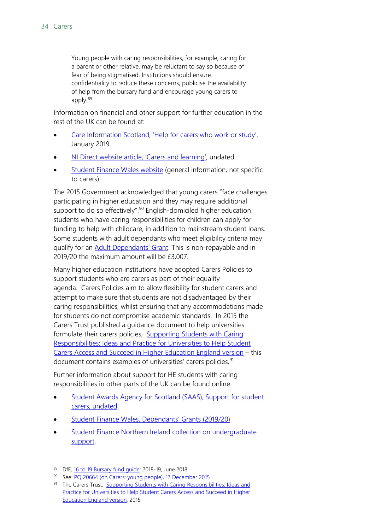Young people with caring responsibilities, for example, caring for a parent or other relative, may be reluctant to say so because of fear of being stigmatised. Institutions should ensure confidentiality to reduce these concerns, publicise the availability of help from the bursary fund and encourage young carers to apply.[89](#page-33-0)

Information on financial and other support for further education in the rest of the UK can be found at:

- [Care Information Scotland, 'Help for carers who work or study',](https://careinfoscotland.scot/topics/support-for-carers/help-for-carers-who-work-or-study/) January 2019.
- [NI Direct website article, 'Carers and learning',](https://www.nidirect.gov.uk/articles/carers-and-learning) undated.
- [Student Finance Wales website](http://www.studentfinancewales.co.uk/fe.aspx) (general information, not specific to carers)

The 2015 Government acknowledged that young carers "face challenges participating in higher education and they may require additional support to do so effectively".<sup>[90](#page-33-1)</sup> English-domiciled higher education students who have caring responsibilities for children can apply for funding to help with childcare, in addition to mainstream student loans. Some students with adult dependants who meet eligibility criteria may qualify for an [Adult Dependants' Grant.](https://www.gov.uk/adult-dependants-grant/eligibility) This is non-repayable and in 2019/20 the maximum amount will be £3,007.

Many higher education institutions have adopted Carers Policies to support students who are carers as part of their equality agenda. Carers Policies aim to allow flexibility for student carers and attempt to make sure that students are not disadvantaged by their caring responsibilities, whilst ensuring that any accommodations made for students do not compromise academic standards. In 2015 the Carers Trust published a guidance document to help universities formulate their carers policies, [Supporting Students with Caring](https://professionals.carers.org/sites/default/files/university_toolkit_master_webversion_final.pdf)  [Responsibilities: Ideas and Practice for Universities to Help Student](https://professionals.carers.org/sites/default/files/university_toolkit_master_webversion_final.pdf)  [Carers Access and Succeed in Higher Education England version](https://professionals.carers.org/sites/default/files/university_toolkit_master_webversion_final.pdf) – this document contains examples of universities' carers policies.<sup>[91](#page-33-2)</sup>

Further information about support for HE students with caring responsibilities in other parts of the UK can be found online:

- [Student Awards Agency for Scotland \(SAAS\), Support for student](http://www.saas.gov.uk/_forms/student_carers.pdf)  [carers, undated.](http://www.saas.gov.uk/_forms/student_carers.pdf)
- [Student Finance Wales, Dependants' Grants](https://www.officeforstudents.org.uk/about/measures-of-our-success/participation-performance-measures/) (2019/20)
- **Student Finance Northern Ireland collection on undergraduate** [support.](https://www.studentfinanceni.co.uk/types-of-finance/undergraduate/)

<span id="page-33-0"></span><sup>89</sup> DfE, [16 to 19 Bursary fund guide:](https://www.gov.uk/guidance/16-to-19-bursary-fund-guide-2017-to-2018-academic-year) 2018-19, June 2018.

<span id="page-33-1"></span><sup>90</sup> See: PO 20664 (on Carers: voung people), 17 December 2015

<span id="page-33-2"></span><sup>91</sup> The Carers Trust, Supporting Students with Caring Responsibilities: Ideas and [Practice for Universities to Help Student Carers Access and Succeed in Higher](https://professionals.carers.org/sites/default/files/university_toolkit_master_webversion_final.pdf)  [Education England version,](https://professionals.carers.org/sites/default/files/university_toolkit_master_webversion_final.pdf) 2015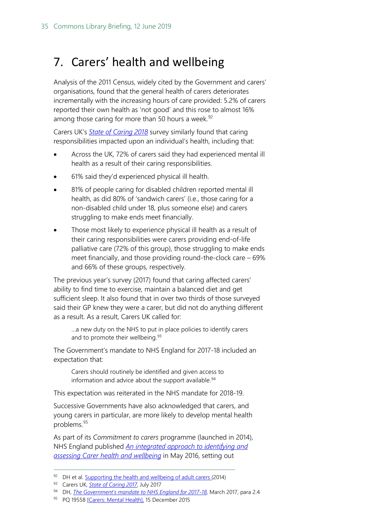## <span id="page-34-0"></span>7. Carers' health and wellbeing

Analysis of the 2011 Census, widely cited by the Government and carers' organisations, found that the general health of carers deteriorates incrementally with the increasing hours of care provided: 5.2% of carers reported their own health as 'not good' and this rose to almost 16% among those caring for more than 50 hours a week. $92$ 

Carers UK's *[State of Caring 2018](https://www.carersuk.org/for-professionals/policy/policy-library/state-of-caring-2018-2)* survey similarly found that caring responsibilities impacted upon an individual's health, including that:

- Across the UK, 72% of carers said they had experienced mental ill health as a result of their caring responsibilities.
- 61% said they'd experienced physical ill health.
- 81% of people caring for disabled children reported mental ill health, as did 80% of 'sandwich carers' (i.e., those caring for a non-disabled child under 18, plus someone else) and carers struggling to make ends meet financially.
- Those most likely to experience physical ill health as a result of their caring responsibilities were carers providing end-of-life palliative care (72% of this group), those struggling to make ends meet financially, and those providing round-the-clock care – 69% and 66% of these groups, respectively.

The previous year's survey (2017) found that caring affected carers' ability to find time to exercise, maintain a balanced diet and get sufficient sleep. It also found that in over two thirds of those surveyed said their GP knew they were a carer, but did not do anything different as a result. As a result, Carers UK called for:

…a new duty on the NHS to put in place policies to identify carers and to promote their wellbeing.<sup>[93](#page-34-2)</sup>

The Government's mandate to NHS England for 2017-18 included an expectation that:

Carers should routinely be identified and given access to information and advice about the support available.<sup>[94](#page-34-3)</sup>

This expectation was reiterated in the NHS mandate for 2018-19.

Successive Governments have also acknowledged that carers, and young carers in particular, are more likely to develop mental health problems.[95](#page-34-4)

As part of its *Commitment to carers* programme (launched in 2014), NHS England published *[An integrated approach to identifying and](https://www.england.nhs.uk/wp-content/uploads/2016/05/identifying-assessing-carer-hlth-wellbeing.pdf)  [assessing Carer health and wellbeing](https://www.england.nhs.uk/wp-content/uploads/2016/05/identifying-assessing-carer-hlth-wellbeing.pdf)* in May 2016, setting out

<span id="page-34-1"></span> $92$  DH et al. [Supporting the health and wellbeing of adult carers](https://www.gov.uk/government/uploads/system/uploads/attachment_data/file/329867/Carers_Pathway.pdf) (2014)

<span id="page-34-2"></span><sup>93</sup> Carers UK, *[State of Caring 2017](https://www.carersuk.org/for-professionals/policy/policy-library/state-of-caring-report-2017)*, July 2017

<span id="page-34-3"></span><sup>94</sup> DH, *[The Government's mandate to NHS England for 2017-18](https://www.gov.uk/government/uploads/system/uploads/attachment_data/file/601188/NHS_Mandate_2017-18_A.pdf)*, March 2017, para 2.4

<span id="page-34-4"></span><sup>95</sup> PQ 19558 [\[Carers: Mental Health\]](http://www.parliament.uk/written-questions-answers-statements/written-question/commons/2015-12-10/19558), 15 December 2015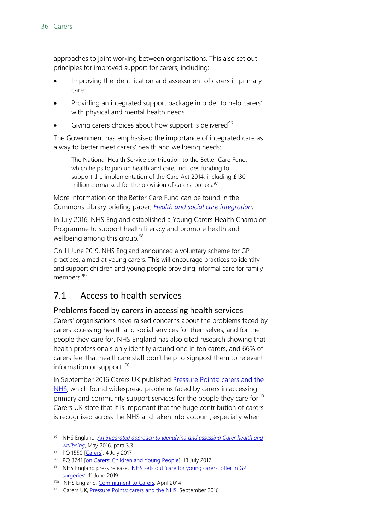approaches to joint working between organisations. This also set out principles for improved support for carers, including:

- Improving the identification and assessment of carers in primary care
- Providing an integrated support package in order to help carers' with physical and mental health needs
- Giving carers choices about how support is delivered $96$

The Government has emphasised the importance of integrated care as a way to better meet carers' health and wellbeing needs:

The National Health Service contribution to the Better Care Fund, which helps to join up health and care, includes funding to support the implementation of the Care Act 2014, including £130 million earmarked for the provision of carers' breaks.<sup>97</sup>

More information on the Better Care Fund can be found in the Commons Library briefing paper, *[Health and social care integration](http://researchbriefings.parliament.uk/ResearchBriefing/Summary/CBP-7902)*.

In July 2016, NHS England established a Young Carers Health Champion Programme to support health literacy and promote health and wellbeing among this group.<sup>[98](#page-35-4)</sup>

On 11 June 2019, NHS England announced a voluntary scheme for GP practices, aimed at young carers. This will encourage practices to identify and support children and young people providing informal care for family members.<sup>[99](#page-35-5)</sup>

## <span id="page-35-0"></span>7.1 Access to health services

### <span id="page-35-1"></span>Problems faced by carers in accessing health services

Carers' organisations have raised concerns about the problems faced by carers accessing health and social services for themselves, and for the people they care for. NHS England has also cited research showing that health professionals only identify around one in ten carers, and 66% of carers feel that healthcare staff don't help to signpost them to relevant information or support.<sup>[100](#page-35-6)</sup>

In September 2016 Carers UK published Pressure Points: carers and the [NHS,](https://www.carersuk.org/for-professionals/policy/policy-library/pressure-points-carers-and-the-nhs) which found widespread problems faced by carers in accessing primary and community support services for the people they care for.<sup>[101](#page-35-7)</sup> Carers UK state that it is important that the huge contribution of carers is recognised across the NHS and taken into account, especially when

<span id="page-35-2"></span> <sup>96</sup> NHS England, *[An integrated approach to identifying and assessing Carer health and](https://www.england.nhs.uk/wp-content/uploads/2016/05/identifying-assessing-carer-hlth-wellbeing.pdf)  [wellbeing](https://www.england.nhs.uk/wp-content/uploads/2016/05/identifying-assessing-carer-hlth-wellbeing.pdf)*, May 2016, para 3.3

<span id="page-35-3"></span><sup>97</sup> PQ 1550 [\[Carers\]](http://www.parliament.uk/written-questions-answers-statements/written-question/commons/2017-06-28/1550), 4 July 2017

<span id="page-35-4"></span><sup>98</sup> PQ 3741 [\[on Carers: Children and Young People\]](http://www.parliament.uk/written-questions-answers-statements/written-question/commons/2017-07-10/3741), 18 July 2017

<span id="page-35-5"></span><sup>99</sup> NHS England press release, 'NHS sets out 'care for young carers' offer in GP [surgeries',](https://www.england.nhs.uk/2019/06/nhs-sets-out-care-for-young-carers-offer-in-gp-surgeries/) 11 June 2019

<span id="page-35-6"></span><sup>&</sup>lt;sup>100</sup> NHS England, **Commitment to Carers**, April 2014

<span id="page-35-7"></span><sup>&</sup>lt;sup>101</sup> Carers UK[, Pressure Points: carers and the NHS,](https://www.carersuk.org/for-professionals/policy/policy-library/pressure-points-carers-and-the-nhs) September 2016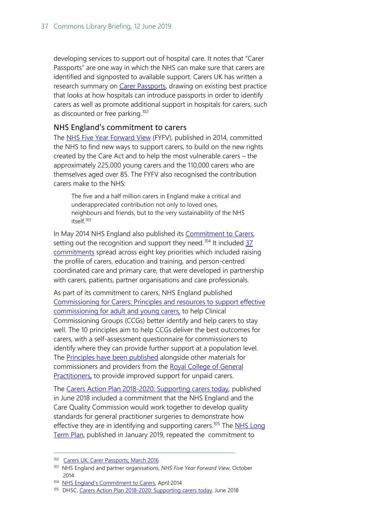developing services to support out of hospital care. It notes that "Carer Passports" are one way in which the NHS can make sure that carers are identified and signposted to available support. Carers UK has written a research summary on [Carer Passports,](https://www.carersuk.org/for-professionals/policy/policy-library/carer-passport-identifying-carers-and-improving-support) drawing on existing best practice that looks at how hospitals can introduce passports in order to identify carers as well as promote additional support in hospitals for carers, such as discounted or free parking.<sup>[102](#page-36-1)</sup>

#### <span id="page-36-0"></span>NHS England's commitment to carers

The [NHS Five Year Forward View](https://www.england.nhs.uk/wp-content/uploads/2014/10/5yfv-web.pdf) (FYFV), published in 2014, committed the NHS to find new ways to support carers, to build on the new rights created by the Care Act and to help the most vulnerable carers – the approximately 225,000 young carers and the 110,000 carers who are themselves aged over 85. The FYFV also recognised the contribution carers make to the NHS:

The five and a half million carers in England make a critical and underappreciated contribution not only to loved ones, neighbours and friends, but to the very sustainability of the NHS itself.[103](#page-36-2)

In May 2014 NHS England also published its [Commitment to Carers,](https://www.england.nhs.uk/wp-content/uploads/2014/05/commitment-to-carers-may14.pdf)  setting out the recognition and support they need.<sup>[104](#page-36-3)</sup> It included  $\frac{37}{3}$ [commitments](https://www.england.nhs.uk/wp-content/uploads/2014/05/commitment-to-carers-may14.pdf) spread across eight key priorities which included raising the profile of carers, education and training, and person-centred coordinated care and primary care, that were developed in partnership with carers, patients, partner organisations and care professionals.

As part of its commitment to carers, NHS England published [Commissioning for Carers: Principles and resources to support effective](https://www.england.nhs.uk/commissioning/wp-content/uploads/sites/12/2014/12/comm-carers-princ-091214.pdf)  [commissioning for adult and young carers,](https://www.england.nhs.uk/commissioning/wp-content/uploads/sites/12/2014/12/comm-carers-princ-091214.pdf) to help Clinical Commissioning Groups (CCGs) better identify and help carers to stay well. The 10 principles aim to help CCGs deliver the best outcomes for carers, with a self-assessment questionnaire for commissioners to identify where they can provide further support at a population level. The [Principles have been published](https://www.england.nhs.uk/commissioning/comm-carers/) alongside other materials for commissioners and providers from the [Royal College of General](https://www.rcgp.org.uk/clinical-and-research/resources/a-to-z-clinical-resources/carers-support.aspx)  [Practitioners,](https://www.rcgp.org.uk/clinical-and-research/resources/a-to-z-clinical-resources/carers-support.aspx) to provide improved support for unpaid carers.

The [Carers Action Plan 2018-2020: Supporting carers today,](https://www.gov.uk/government/publications/carers-action-plan-2018-to-2020) published in June 2018 included a commitment that the NHS England and the Care Quality Commission would work together to develop quality standards for general practitioner surgeries to demonstrate how effective they are in identifying and supporting carers.<sup>[105](#page-36-4)</sup> The NHS Long [Term Plan,](https://www.longtermplan.nhs.uk/publication/nhs-long-term-plan/) published in January 2019, repeated the commitment to

<span id="page-36-1"></span><sup>102</sup> Carers UK, Carer Passports, March 2016

<span id="page-36-2"></span><sup>103</sup> NHS England and partner organisations, *NHS Five Year Forward View*, October 2014

<span id="page-36-3"></span><sup>104</sup> [NHS England's Commitment to Carers,](https://www.england.nhs.uk/wp-content/uploads/2014/05/commitment-to-carers-may14.pdf) April 2014

<span id="page-36-4"></span><sup>105</sup> DHSC[, Carers Action Plan 2018-2020: Supporting carers today.](https://www.gov.uk/government/publications/carers-action-plan-2018-to-2020) June 2018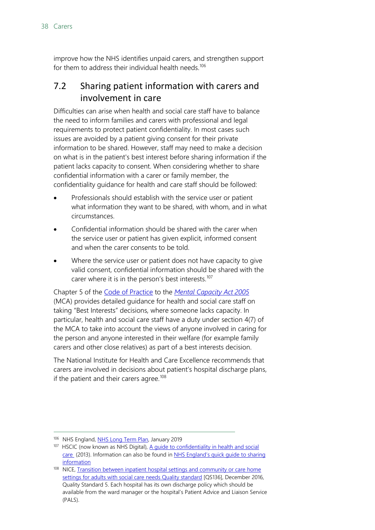improve how the NHS identifies unpaid carers, and strengthen support for them to address their individual health needs.<sup>[106](#page-37-1)</sup>

### <span id="page-37-0"></span>7.2 Sharing patient information with carers and involvement in care

Difficulties can arise when health and social care staff have to balance the need to inform families and carers with professional and legal requirements to protect patient confidentiality. In most cases such issues are avoided by a patient giving consent for their private information to be shared. However, staff may need to make a decision on what is in the patient's best interest before sharing information if the patient lacks capacity to consent. When considering whether to share confidential information with a carer or family member, the confidentiality guidance for health and care staff should be followed:

- Professionals should establish with the service user or patient what information they want to be shared, with whom, and in what circumstances.
- Confidential information should be shared with the carer when the service user or patient has given explicit, informed consent and when the carer consents to be told.
- Where the service user or patient does not have capacity to give valid consent, confidential information should be shared with the carer where it is in the person's best interests.<sup>[107](#page-37-2)</sup>

Chapter 5 of the [Code of Practice](https://www.gov.uk/government/uploads/system/uploads/attachment_data/file/497253/Mental-capacity-act-code-of-practice.pdf) to the *[Mental Capacity Act 2005](http://www.legislation.gov.uk/ukpga/2005/9/contents/enacted)* (MCA) provides detailed guidance for health and social care staff on taking "Best Interests" decisions, where someone lacks capacity. In particular, health and social care staff have a duty under section 4(7) of the MCA to take into account the views of anyone involved in caring for the person and anyone interested in their welfare (for example family carers and other close relatives) as part of a best interests decision.

The National Institute for Health and Care Excellence recommends that carers are involved in decisions about patient's hospital discharge plans, if the patient and their carers agree.<sup>[108](#page-37-3)</sup>

<span id="page-37-1"></span><sup>106</sup> NHS England, [NHS Long Term Plan,](https://www.longtermplan.nhs.uk/publication/nhs-long-term-plan/) January 2019

<span id="page-37-2"></span><sup>&</sup>lt;sup>107</sup> HSCIC (now known as NHS Digital), A guide to confidentiality in health and social [care](http://content.digital.nhs.uk/media/12822/Guide-to-confidentiality-in-health-and-social-care/pdf/HSCIC-guide-to-confidentiality.pdf) (2013). Information can also be found in [NHS England's quick guide to sharing](https://www.nhs.uk/NHSEngland/keogh-review/Documents/quick-guides/Quick-Guide-sharing-patient-information.pdf)  **[information](https://www.nhs.uk/NHSEngland/keogh-review/Documents/quick-guides/Quick-Guide-sharing-patient-information.pdf)** 

<span id="page-37-3"></span><sup>108</sup> NICE, Transition between inpatient hospital settings and community or care home [settings for adults with social care needs Quality standard](https://www.nice.org.uk/guidance/qs136/chapter/Quality-statement-5-Involving-carers-in-discharge-planning) [QS136], December 2016, Quality Standard 5. Each hospital has its own discharge policy which should be available from the ward manager or the hospital's Patient Advice and Liaison Service (PALS).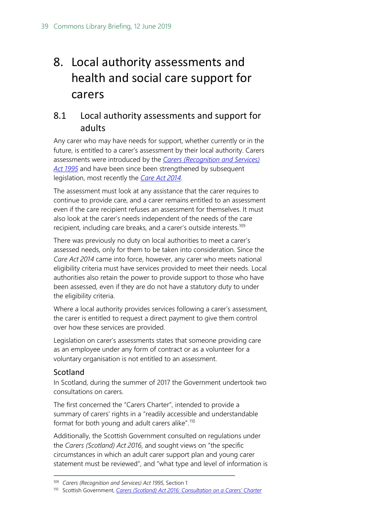# <span id="page-38-0"></span>8. Local authority assessments and health and social care support for carers

## <span id="page-38-1"></span>8.1 Local authority assessments and support for adults

Any carer who may have needs for support, whether currently or in the future, is entitled to a carer's assessment by their local authority. Carers assessments were introduced by the *[Carers \(Recognition and Services\)](http://www.legislation.gov.uk/ukpga/1995/12/contents/enacted)  [Act 1995](http://www.legislation.gov.uk/ukpga/1995/12/contents/enacted)* and have been since been strengthened by subsequent legislation, most recently the *[Care Act 2014](http://www.legislation.gov.uk/ukpga/2014/23/contents/enacted)*.

The assessment must look at any assistance that the carer requires to continue to provide care, and a carer remains entitled to an assessment even if the care recipient refuses an assessment for themselves. It must also look at the carer's needs independent of the needs of the care recipient, including care breaks, and a carer's outside interests.<sup>[109](#page-38-3)</sup>

There was previously no duty on local authorities to meet a carer's assessed needs, only for them to be taken into consideration. Since the *Care Act 2014* came into force, however, any carer who meets national eligibility criteria must have services provided to meet their needs. Local authorities also retain the power to provide support to those who have been assessed, even if they are do not have a statutory duty to under the eligibility criteria.

Where a local authority provides services following a carer's assessment, the carer is entitled to request a direct payment to give them control over how these services are provided.

Legislation on carer's assessments states that someone providing care as an employee under any form of contract or as a volunteer for a voluntary organisation is not entitled to an assessment.

### <span id="page-38-2"></span>Scotland

In Scotland, during the summer of 2017 the Government undertook two consultations on carers.

The first concerned the "Carers Charter", intended to provide a summary of carers' rights in a "readily accessible and understandable format for both young and adult carers alike".[110](#page-38-4)

Additionally, the Scottish Government consulted on regulations under the *Carers (Scotland) Act 2016*, and sought views on "the specific circumstances in which an adult carer support plan and young carer statement must be reviewed", and "what type and level of information is

<span id="page-38-3"></span> <sup>109</sup> *Carers (Recognition and Services) Act 1995*, Section 1

<span id="page-38-4"></span><sup>110</sup> Scottish Government, *[Carers \(Scotland\) Act 2016: Consultation on a Carers' Charter](http://www.gov.scot/Publications/2017/08/1032)*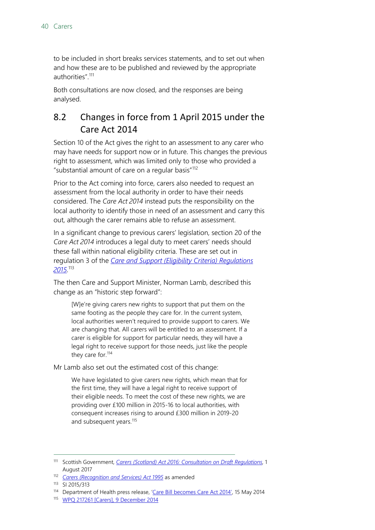to be included in short breaks services statements, and to set out when and how these are to be published and reviewed by the appropriate authorities" [111](#page-39-1)

Both consultations are now closed, and the responses are being analysed.

## <span id="page-39-0"></span>8.2 Changes in force from 1 April 2015 under the Care Act 2014

Section 10 of the Act gives the right to an assessment to any carer who may have needs for support now or in future. This changes the previous right to assessment, which was limited only to those who provided a "substantial amount of care on a regular basis"[112](#page-39-2)

Prior to the Act coming into force, carers also needed to request an assessment from the local authority in order to have their needs considered. The *Care Act 2014* instead puts the responsibility on the local authority to identify those in need of an assessment and carry this out, although the carer remains able to refuse an assessment.

In a significant change to previous carers' legislation, section 20 of the *Care Act 2014* introduces a legal duty to meet carers' needs should these fall within national eligibility criteria. These are set out in regulation 3 of the *[Care and Support \(Eligibility Criteria\) Regulations](http://www.legislation.gov.uk/uksi/2015/313/pdfs/uksi_20150313_en.pdf)  [2015](http://www.legislation.gov.uk/uksi/2015/313/pdfs/uksi_20150313_en.pdf)*. [113](#page-39-3)

The then Care and Support Minister, Norman Lamb, described this change as an "historic step forward":

[W]e're giving carers new rights to support that put them on the same footing as the people they care for. In the current system, local authorities weren't required to provide support to carers. We are changing that. All carers will be entitled to an assessment. If a carer is eligible for support for particular needs, they will have a legal right to receive support for those needs, just like the people they care for.<sup>[114](#page-39-4)</sup>

Mr Lamb also set out the estimated cost of this change:

We have legislated to give carers new rights, which mean that for the first time, they will have a legal right to receive support of their eligible needs. To meet the cost of these new rights, we are providing over £100 million in 2015-16 to local authorities, with consequent increases rising to around £300 million in 2019-20 and subsequent years.<sup>[115](#page-39-5)</sup>

<span id="page-39-1"></span> <sup>111</sup> Scottish Government, *[Carers \(Scotland\) Act 2016: Consultation on Draft Regulations](http://www.gov.scot/Publications/2017/08/3081)*, 1 August 2017

<span id="page-39-2"></span><sup>112</sup> *[Carers \(Recognition and Services\) Act 1995](http://www.legislation.gov.uk/ukpga/1995/12)* as amended

<span id="page-39-3"></span><sup>113</sup> SI 2015/313

<span id="page-39-4"></span><sup>&</sup>lt;sup>114</sup> Department of Health press release, ['Care Bill becomes Care Act 2014',](https://www.gov.uk/government/speeches/care-bill-becomes-care-act-2014) 15 May 2014

<span id="page-39-5"></span><sup>115</sup> [WPQ 217261 \[Carers\], 9 December 2014](http://www.parliament.uk/written-questions-answers-statements/written-question/commons/2014-12-04/217261)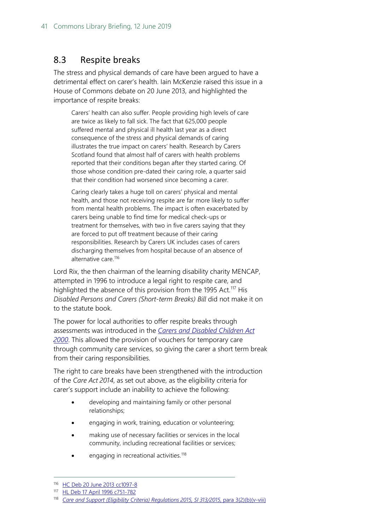### <span id="page-40-0"></span>8.3 Respite breaks

The stress and physical demands of care have been argued to have a detrimental effect on carer's health. Iain McKenzie raised this issue in a House of Commons debate on 20 June 2013, and highlighted the importance of respite breaks:

Carers' health can also suffer. People providing high levels of care are twice as likely to fall sick. The fact that 625,000 people suffered mental and physical ill health last year as a direct consequence of the stress and physical demands of caring illustrates the true impact on carers' health. Research by Carers Scotland found that almost half of carers with health problems reported that their conditions began after they started caring. Of those whose condition pre-dated their caring role, a quarter said that their condition had worsened since becoming a carer.

Caring clearly takes a huge toll on carers' physical and mental health, and those not receiving respite are far more likely to suffer from mental health problems. The impact is often exacerbated by carers being unable to find time for medical check-ups or treatment for themselves, with two in five carers saying that they are forced to put off treatment because of their caring responsibilities. Research by Carers UK includes cases of carers discharging themselves from hospital because of an absence of alternative care.<sup>[116](#page-40-1)</sup>

Lord Rix, the then chairman of the learning disability charity MENCAP, attempted in 1996 to introduce a legal right to respite care, and highlighted the absence of this provision from the 1995 Act.<sup>[117](#page-40-2)</sup> His *Disabled Persons and Carers (Short-term Breaks) Bill* did not make it on to the statute book.

The power for local authorities to offer respite breaks through assessments was introduced in the *[Carers and Disabled Children Act](http://www.legislation.gov.uk/ukpga/2000/16/contents)  [2000](http://www.legislation.gov.uk/ukpga/2000/16/contents)*. This allowed the provision of vouchers for temporary care through community care services, so giving the carer a short term break from their caring responsibilities.

The right to care breaks have been strengthened with the introduction of the *Care Act 2014*, as set out above, as the eligibility criteria for carer's support include an inability to achieve the following:

- developing and maintaining family or other personal relationships;
- engaging in work, training, education or volunteering;
- making use of necessary facilities or services in the local community, including recreational facilities or services;
- engaging in recreational activities.<sup>[118](#page-40-3)</sup>

<span id="page-40-1"></span><sup>116</sup> [HC Deb 20 June 2013 cc1097-8](http://www.publications.parliament.uk/pa/cm201314/cmhansrd/cm130620/debtext/130620-0002.htm#13062055000468)

<span id="page-40-2"></span><sup>117</sup> [HL Deb 17 April 1996 c751-782](http://www.publications.parliament.uk/pa/ld199596/ldhansrd/vo960417/text/60417-11.htm#60417-11_head1)

<span id="page-40-3"></span><sup>118</sup> *[Care and Support \(Eligibility Criteria\) Regulations 2015, SI 313/2015](http://www.legislation.gov.uk/uksi/2015/313/pdfs/uksi_20150313_en.pdf)*, para 3(2)(b)(v-viii)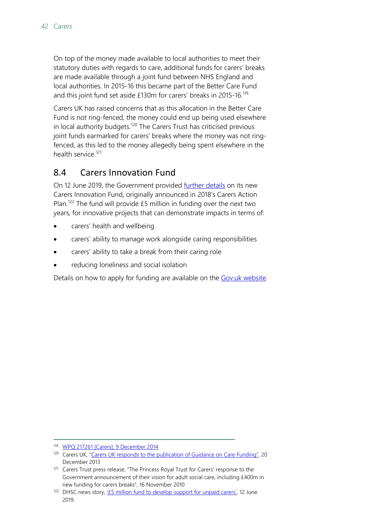On top of the money made available to local authorities to meet their statutory duties with regards to care, additional funds for carers' breaks are made available through a joint fund between NHS England and local authorities. In 2015-16 this became part of the Better Care Fund and this joint fund set aside £130m for carers' breaks in 2015-16.[119](#page-41-1)

Carers UK has raised concerns that as this allocation in the Better Care Fund is not ring-fenced, the money could end up being used elsewhere in local authority budgets.<sup>[120](#page-41-2)</sup> The Carers Trust has criticised previous joint funds earmarked for carers' breaks where the money was not ringfenced, as this led to the money allegedly being spent elsewhere in the health service<sup>[121](#page-41-3)</sup>

### <span id="page-41-0"></span>8.4 Carers Innovation Fund

On 12 June 2019, the Government provided [further details](https://www.gov.uk/government/news/5-million-fund-to-develop-support-for-unpaid-carers) on its new Carers Innovation Fund, originally announced in 2018's Carers Action Plan.<sup>[122](#page-41-4)</sup> The fund will provide  $£5$  million in funding over the next two years, for innovative projects that can demonstrate impacts in terms of:

- carers' health and wellbeing
- carers' ability to manage work alongside caring responsibilities
- carers' ability to take a break from their caring role
- reducing loneliness and social isolation

Details on how to apply for funding are available on the [Gov.uk website.](https://www.gov.uk/government/publications/carers-innovation-fund-how-to-apply)

<span id="page-41-1"></span>119 [WPQ 217261 \[Carers\], 9 December 2014](http://www.parliament.uk/written-questions-answers-statements/written-question/commons/2014-12-04/217261)

<span id="page-41-2"></span><sup>&</sup>lt;sup>120</sup> Carers UK, ["Carers UK responds to the publication of Guidance on Care Funding"](http://www.carersuk.org/news-and-campaigns/press-releases/carers-uk-responds-to-the-publication-of-guidance-on-care-funding), 20 December 2013

<span id="page-41-3"></span><sup>121</sup> Carers Trust press release, "The Princess Royal Trust for Carers' response to the Government announcement of their vision for adult social care, including £400m in new funding for carers breaks", 16 November 2010

<span id="page-41-4"></span><sup>122</sup> DHSC news story, '*£5* million fund to develop support for unpaid carers', 12 June 2019.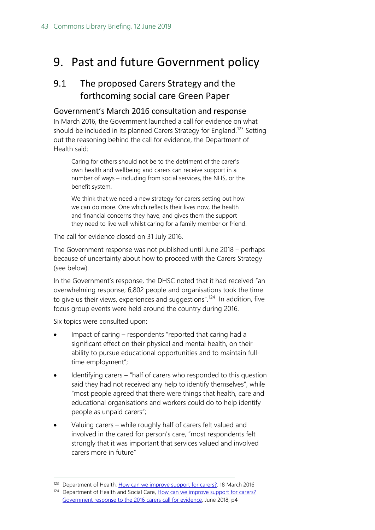## <span id="page-42-0"></span>9. Past and future Government policy

### <span id="page-42-1"></span>9.1 The proposed Carers Strategy and the forthcoming social care Green Paper

#### <span id="page-42-2"></span>Government's March 2016 consultation and response

In March 2016, the Government launched a call for evidence on what should be included in its planned Carers Strategy for England.<sup>[123](#page-42-3)</sup> Setting out the reasoning behind the call for evidence, the Department of Health said:

Caring for others should not be to the detriment of the carer's own health and wellbeing and carers can receive support in a number of ways – including from social services, the NHS, or the benefit system.

We think that we need a new strategy for carers setting out how we can do more. One which reflects their lives now, the health and financial concerns they have, and gives them the support they need to live well whilst caring for a family member or friend.

The call for evidence closed on 31 July 2016.

The Government response was not published until June 2018 – perhaps because of uncertainty about how to proceed with the Carers Strategy (see below).

In the Government's response, the DHSC noted that it had received "an overwhelming response; 6,802 people and organisations took the time to give us their views, experiences and suggestions".<sup>124</sup> In addition, five focus group events were held around the country during 2016.

Six topics were consulted upon:

- Impact of caring respondents "reported that caring had a significant effect on their physical and mental health, on their ability to pursue educational opportunities and to maintain fulltime employment";
- Identifying carers "half of carers who responded to this question said they had not received any help to identify themselves", while "most people agreed that there were things that health, care and educational organisations and workers could do to help identify people as unpaid carers";
- Valuing carers while roughly half of carers felt valued and involved in the cared for person's care, "most respondents felt strongly that it was important that services valued and involved carers more in future"

<span id="page-42-3"></span><sup>&</sup>lt;sup>123</sup> Department of Health, [How can we improve support for carers?,](https://consultations.dh.gov.uk/carers/how-can-we-improve-support-for-carers/) 18 March 2016

<span id="page-42-4"></span><sup>124</sup> Department of Health and Social Care, How can we improve support for carers? [Government response to the 2016 carers call for evidence,](https://assets.publishing.service.gov.uk/government/uploads/system/uploads/attachment_data/file/713695/response-to-carers-call-for-evidence.pdf) June 2018, p4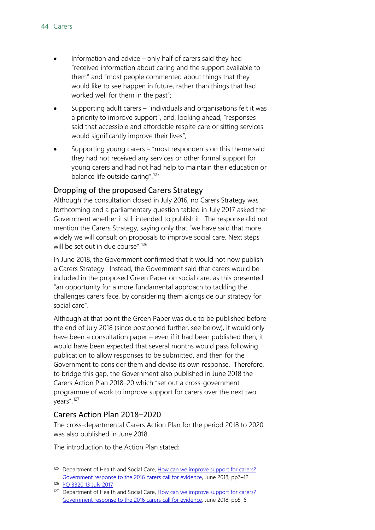- Information and advice only half of carers said they had "received information about caring and the support available to them" and "most people commented about things that they would like to see happen in future, rather than things that had worked well for them in the past";
- Supporting adult carers "individuals and organisations felt it was a priority to improve support", and, looking ahead, "responses said that accessible and affordable respite care or sitting services would significantly improve their lives";
- Supporting young carers "most respondents on this theme said they had not received any services or other formal support for young carers and had not had help to maintain their education or balance life outside caring".[125](#page-43-2)

#### <span id="page-43-0"></span>Dropping of the proposed Carers Strategy

Although the consultation closed in July 2016, no Carers Strategy was forthcoming and a parliamentary question tabled in July 2017 asked the Government whether it still intended to publish it. The response did not mention the Carers Strategy, saying only that "we have said that more widely we will consult on proposals to improve social care. Next steps will be set out in due course". [126](#page-43-3)

In June 2018, the Government confirmed that it would not now publish a Carers Strategy. Instead, the Government said that carers would be included in the proposed Green Paper on social care, as this presented "an opportunity for a more fundamental approach to tackling the challenges carers face, by considering them alongside our strategy for social care".

Although at that point the Green Paper was due to be published before the end of July 2018 (since postponed further, see below), it would only have been a consultation paper – even if it had been published then, it would have been expected that several months would pass following publication to allow responses to be submitted, and then for the Government to consider them and devise its own response. Therefore, to bridge this gap, the Government also published in June 2018 the Carers Action Plan 2018–20 which "set out a cross-government programme of work to improve support for carers over the next two years".[127](#page-43-4)

#### <span id="page-43-1"></span>Carers Action Plan 2018–2020

The cross-departmental Carers Action Plan for the period 2018 to 2020 was also published in June 2018.

The introduction to the Action Plan stated:

<span id="page-43-2"></span><sup>125</sup> Department of Health and Social Care, How can we improve support for carers? [Government response to the 2016 carers call for evidence,](https://assets.publishing.service.gov.uk/government/uploads/system/uploads/attachment_data/file/713695/response-to-carers-call-for-evidence.pdf) June 2018, pp7–12

<span id="page-43-3"></span><sup>126</sup> [PQ 3320 13 July 2017](http://www.parliament.uk/business/publications/written-questions-answers-statements/written-question/Commons/2017-07-06/3320/)

<span id="page-43-4"></span><sup>127</sup> Department of Health and Social Care, How can we improve support for carers? [Government response to the](https://assets.publishing.service.gov.uk/government/uploads/system/uploads/attachment_data/file/713695/response-to-carers-call-for-evidence.pdf) 2016 carers call for evidence, June 2018, pp5–6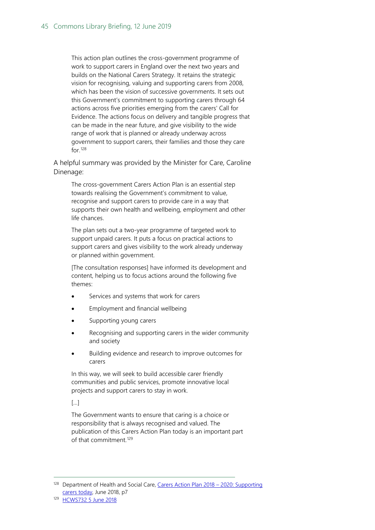This action plan outlines the cross-government programme of work to support carers in England over the next two years and builds on the National Carers Strategy. It retains the strategic vision for recognising, valuing and supporting carers from 2008, which has been the vision of successive governments. It sets out this Government's commitment to supporting carers through 64 actions across five priorities emerging from the carers' Call for Evidence. The actions focus on delivery and tangible progress that can be made in the near future, and give visibility to the wide range of work that is planned or already underway across government to support carers, their families and those they care for.[128](#page-44-0)

A helpful summary was provided by the Minister for Care, Caroline Dinenage:

The cross-government Carers Action Plan is an essential step towards realising the Government's commitment to value, recognise and support carers to provide care in a way that supports their own health and wellbeing, employment and other life chances.

The plan sets out a two-year programme of targeted work to support unpaid carers. It puts a focus on practical actions to support carers and gives visibility to the work already underway or planned within government.

[The consultation responses] have informed its development and content, helping us to focus actions around the following five themes:

- Services and systems that work for carers
- Employment and financial wellbeing
- Supporting young carers
- Recognising and supporting carers in the wider community and society
- Building evidence and research to improve outcomes for carers

In this way, we will seek to build accessible carer friendly communities and public services, promote innovative local projects and support carers to stay in work.

[…]

The Government wants to ensure that caring is a choice or responsibility that is always recognised and valued. The publication of this Carers Action Plan today is an important part of that commitment<sup>[129](#page-44-1)</sup>

<span id="page-44-0"></span><sup>&</sup>lt;sup>128</sup> Department of Health and Social Care, Carers Action Plan 2018 – 2020: Supporting [carers today,](https://assets.publishing.service.gov.uk/government/uploads/system/uploads/attachment_data/file/713781/carers-action-plan-2018-2020.pdf) June 2018, p7

<span id="page-44-1"></span><sup>129</sup> [HCWS732 5 June 2018](https://www.parliament.uk/written-questions-answers-statements/written-statement/Commons/2018-06-05/HCWS732)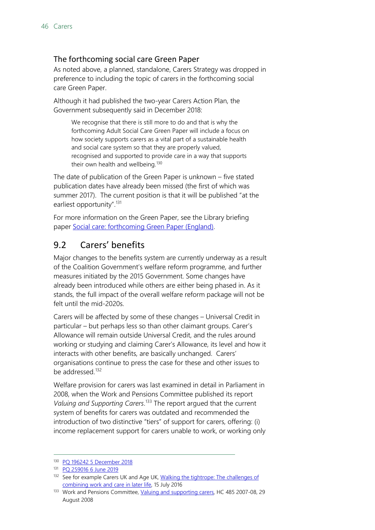#### <span id="page-45-0"></span>The forthcoming social care Green Paper

As noted above, a planned, standalone, Carers Strategy was dropped in preference to including the topic of carers in the forthcoming social care Green Paper.

Although it had published the two-year Carers Action Plan, the Government subsequently said in December 2018:

We recognise that there is still more to do and that is why the forthcoming Adult Social Care Green Paper will include a focus on how society supports carers as a vital part of a sustainable health and social care system so that they are properly valued, recognised and supported to provide care in a way that supports their own health and wellbeing.<sup>[130](#page-45-2)</sup>

The date of publication of the Green Paper is unknown – five stated publication dates have already been missed (the first of which was summer 2017). The current position is that it will be published "at the earliest opportunity".<sup>[131](#page-45-3)</sup>

For more information on the Green Paper, see the Library briefing paper [Social care: forthcoming Green Paper \(England\).](https://researchbriefings.parliament.uk/ResearchBriefing/Summary/CBP-8002)

### <span id="page-45-1"></span>9.2 Carers' benefits

Major changes to the benefits system are currently underway as a result of the Coalition Government's welfare reform programme, and further measures initiated by the 2015 Government. Some changes have already been introduced while others are either being phased in. As it stands, the full impact of the overall welfare reform package will not be felt until the mid-2020s.

Carers will be affected by some of these changes – Universal Credit in particular – but perhaps less so than other claimant groups. Carer's Allowance will remain outside Universal Credit, and the rules around working or studying and claiming Carer's Allowance, its level and how it interacts with other benefits, are basically unchanged. Carers' organisations continue to press the case for these and other issues to be addressed.<sup>[132](#page-45-4)</sup>

Welfare provision for carers was last examined in detail in Parliament in 2008, when the Work and Pensions Committee published its report *Valuing and Supporting Carers*. [133](#page-45-5) The report argued that the current system of benefits for carers was outdated and recommended the introduction of two distinctive "tiers" of support for carers, offering: (i) income replacement support for carers unable to work, or working only

<span id="page-45-2"></span> <sup>130</sup> [PQ 196242 5 December 2018](https://www.parliament.uk/written-questions-answers-statements/written-question/commons/2018-11-27/196242)

<span id="page-45-3"></span><sup>131</sup> [PQ 259016 6 June 2019](https://www.parliament.uk/written-questions-answers-statements/written-question/commons/2019-06-03/259016)

<span id="page-45-4"></span><sup>132</sup> See for example Carers UK and Age UK, Walking the tightrope: The challenges of [combining work and care in later life,](http://www.ageuk.org.uk/Documents/EN-GB/For-professionals/Policy/work-and-learning/Walking_the_tightrope_report_2016.pdf?dtrk=true) 15 July 2016

<span id="page-45-5"></span><sup>133</sup> Work and Pensions Committee, [Valuing and supporting carers,](http://www.publications.parliament.uk/pa/cm200708/cmselect/cmworpen/cmworpen.htm) HC 485 2007-08, 29 August 2008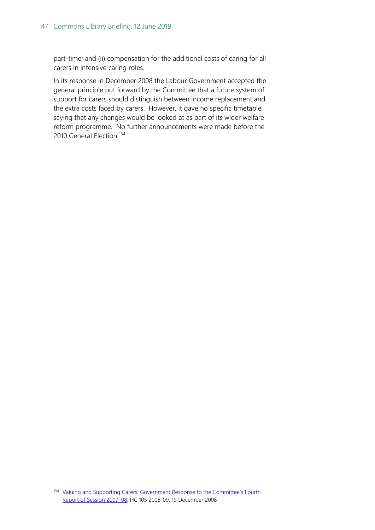part-time; and (ii) compensation for the additional costs of caring for all carers in intensive caring roles.

In its response in December 2008 the Labour Government accepted the general principle put forward by the Committee that a future system of support for carers should distinguish between income replacement and the extra costs faced by carers. However, it gave no specific timetable, saying that any changes would be looked at as part of its wider welfare reform programme. No further announcements were made before the 2010 General Election.<sup>[134](#page-46-0)</sup>

<span id="page-46-0"></span><sup>134</sup> Valuing and Supporting Carers: Government Response to the Committee's Fourth [Report of Session 2007–08,](http://www.publications.parliament.uk/pa/cm200809/cmselect/cmworpen/cmworpen.htm) HC 105 2008-09, 19 December 2008